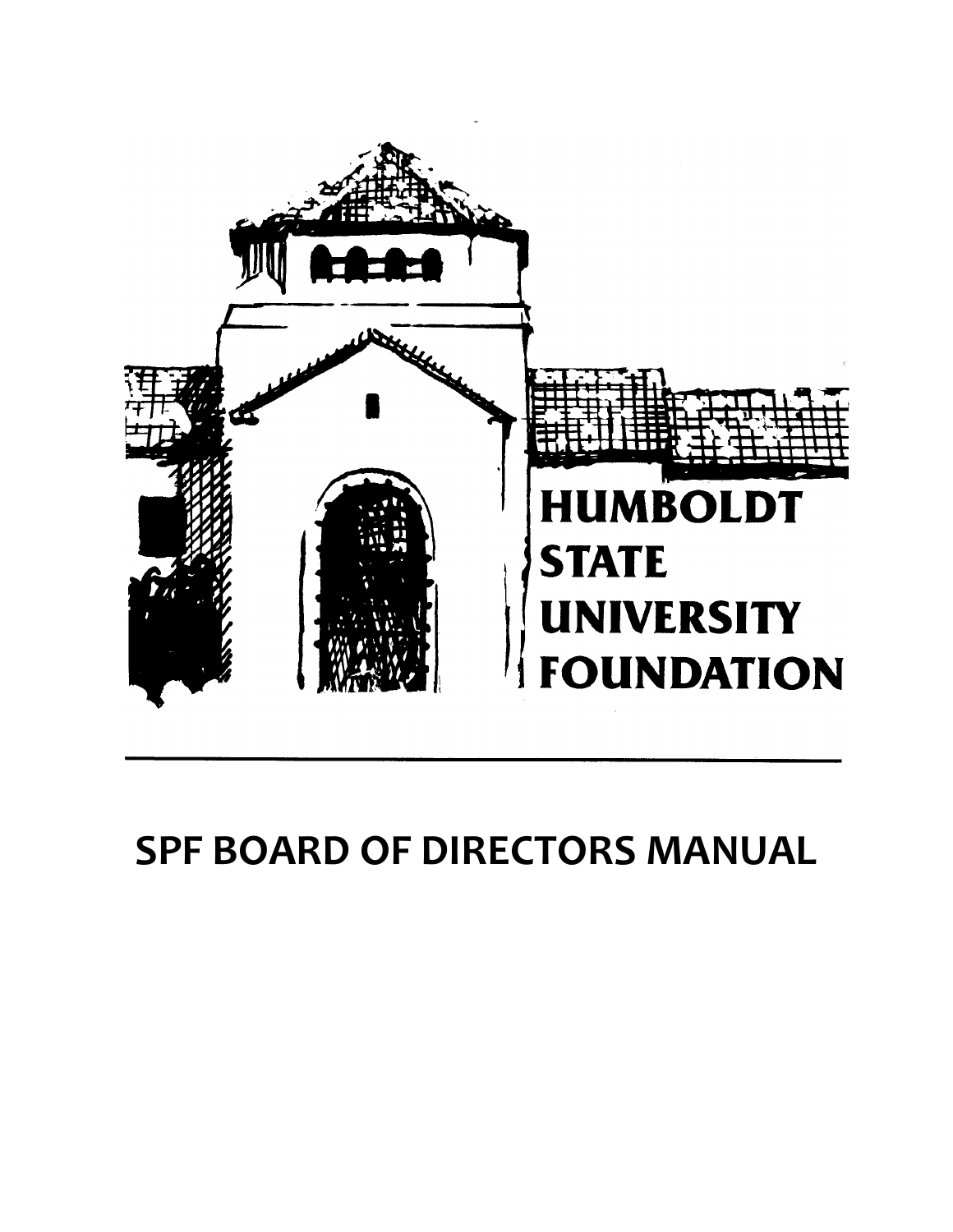

# **SPF BOARD OF DIRECTORS MANUAL**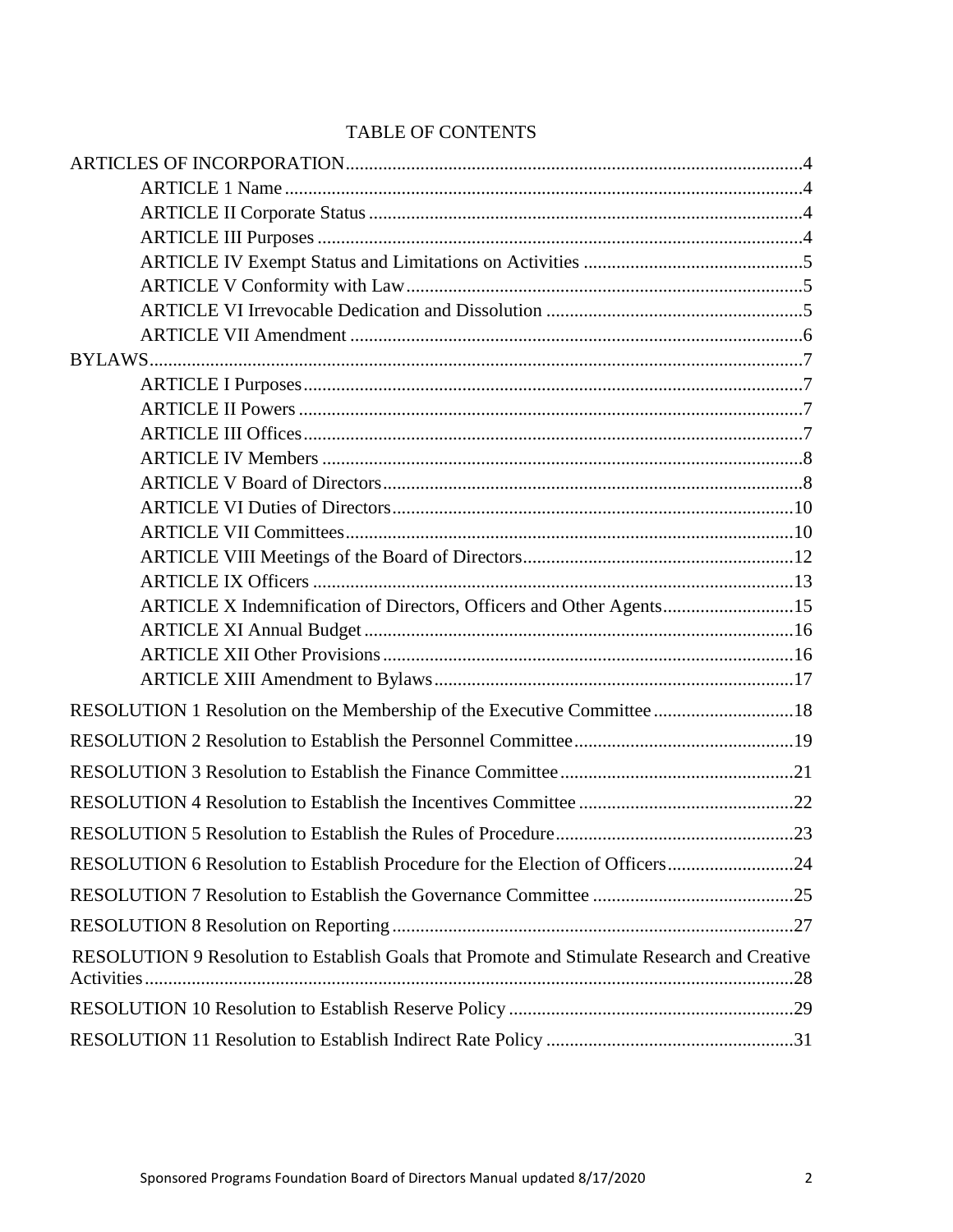| <b>TABLE OF CONTENTS</b> |  |
|--------------------------|--|
|--------------------------|--|

| ARTICLE X Indemnification of Directors, Officers and Other Agents15                         |  |
|---------------------------------------------------------------------------------------------|--|
|                                                                                             |  |
|                                                                                             |  |
|                                                                                             |  |
| RESOLUTION 1 Resolution on the Membership of the Executive Committee 18                     |  |
|                                                                                             |  |
|                                                                                             |  |
|                                                                                             |  |
|                                                                                             |  |
| RESOLUTION 6 Resolution to Establish Procedure for the Election of Officers24               |  |
|                                                                                             |  |
|                                                                                             |  |
| RESOLUTION 9 Resolution to Establish Goals that Promote and Stimulate Research and Creative |  |
|                                                                                             |  |
|                                                                                             |  |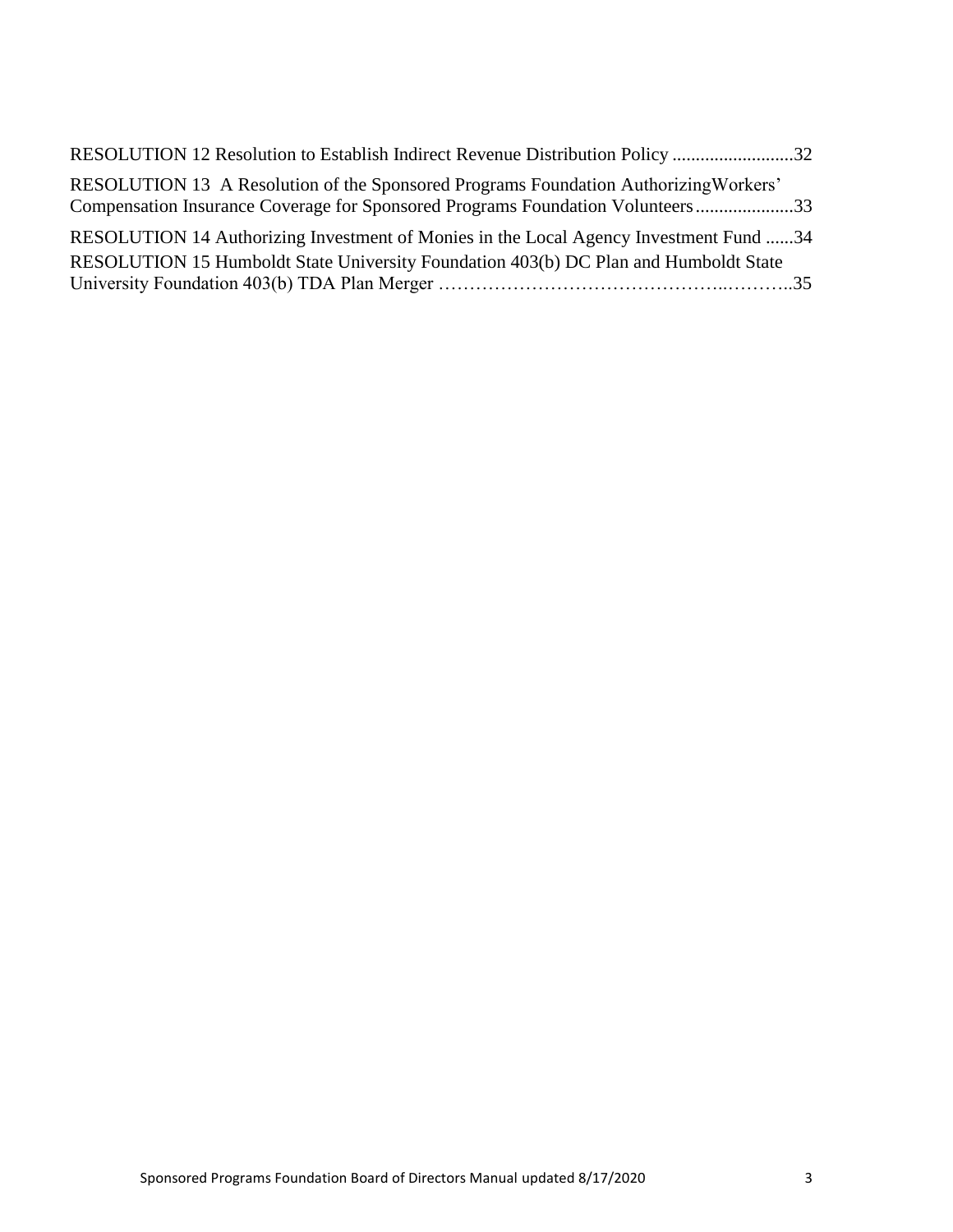| RESOLUTION 12 Resolution to Establish Indirect Revenue Distribution Policy 32                                                                                          |  |
|------------------------------------------------------------------------------------------------------------------------------------------------------------------------|--|
| RESOLUTION 13 A Resolution of the Sponsored Programs Foundation Authorizing Workers'<br>Compensation Insurance Coverage for Sponsored Programs Foundation Volunteers33 |  |
| RESOLUTION 14 Authorizing Investment of Monies in the Local Agency Investment Fund 34                                                                                  |  |
| RESOLUTION 15 Humboldt State University Foundation 403(b) DC Plan and Humboldt State                                                                                   |  |
|                                                                                                                                                                        |  |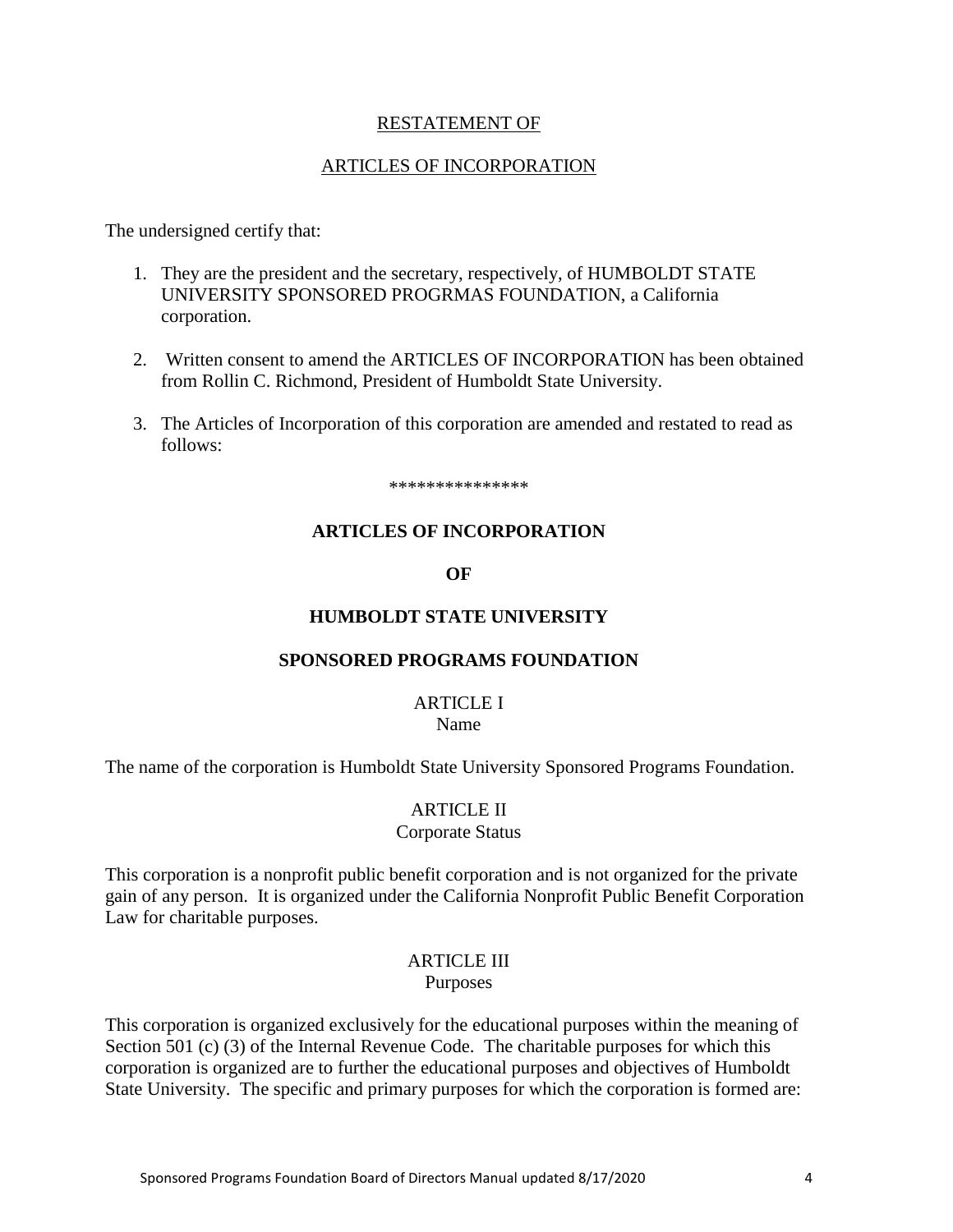#### RESTATEMENT OF

#### ARTICLES OF INCORPORATION

<span id="page-3-0"></span>The undersigned certify that:

- 1. They are the president and the secretary, respectively, of HUMBOLDT STATE UNIVERSITY SPONSORED PROGRMAS FOUNDATION, a California corporation.
- 2. Written consent to amend the ARTICLES OF INCORPORATION has been obtained from Rollin C. Richmond, President of Humboldt State University.
- 3. The Articles of Incorporation of this corporation are amended and restated to read as follows:

\*\*\*\*\*\*\*\*\*\*\*\*\*\*\*

#### **ARTICLES OF INCORPORATION**

**OF**

#### **HUMBOLDT STATE UNIVERSITY**

#### **SPONSORED PROGRAMS FOUNDATION**

#### ARTICLE I

Name

<span id="page-3-2"></span><span id="page-3-1"></span>The name of the corporation is Humboldt State University Sponsored Programs Foundation.

#### ARTICLE II

#### Corporate Status

This corporation is a nonprofit public benefit corporation and is not organized for the private gain of any person. It is organized under the California Nonprofit Public Benefit Corporation Law for charitable purposes.

#### ARTICLE III Purposes

<span id="page-3-3"></span>This corporation is organized exclusively for the educational purposes within the meaning of Section 501 (c) (3) of the Internal Revenue Code. The charitable purposes for which this corporation is organized are to further the educational purposes and objectives of Humboldt State University. The specific and primary purposes for which the corporation is formed are: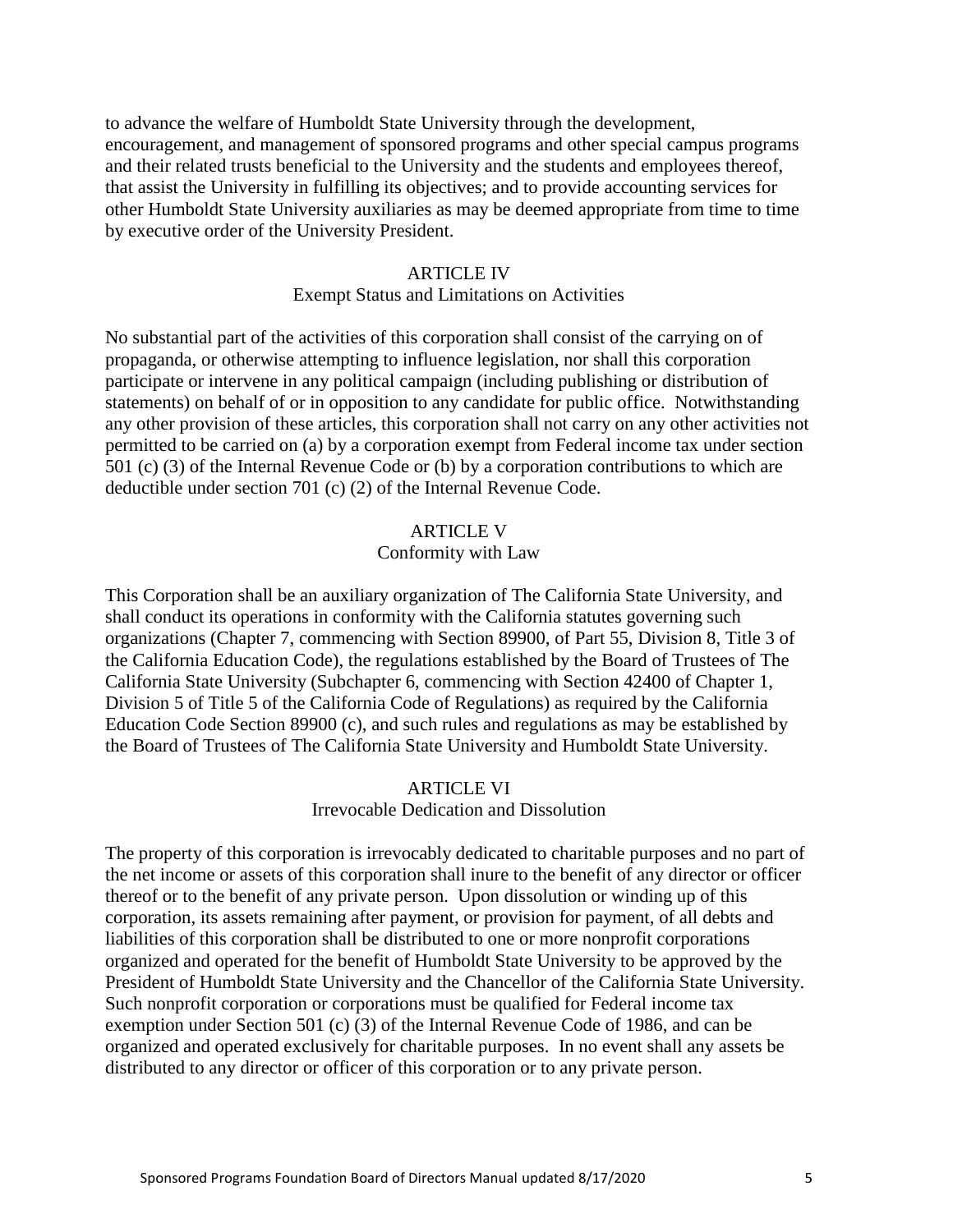to advance the welfare of Humboldt State University through the development, encouragement, and management of sponsored programs and other special campus programs and their related trusts beneficial to the University and the students and employees thereof, that assist the University in fulfilling its objectives; and to provide accounting services for other Humboldt State University auxiliaries as may be deemed appropriate from time to time by executive order of the University President.

#### ARTICLE IV

#### Exempt Status and Limitations on Activities

<span id="page-4-0"></span>No substantial part of the activities of this corporation shall consist of the carrying on of propaganda, or otherwise attempting to influence legislation, nor shall this corporation participate or intervene in any political campaign (including publishing or distribution of statements) on behalf of or in opposition to any candidate for public office. Notwithstanding any other provision of these articles, this corporation shall not carry on any other activities not permitted to be carried on (a) by a corporation exempt from Federal income tax under section 501 (c) (3) of the Internal Revenue Code or (b) by a corporation contributions to which are deductible under section 701 (c) (2) of the Internal Revenue Code.

#### ARTICLE V

#### Conformity with Law

<span id="page-4-1"></span>This Corporation shall be an auxiliary organization of The California State University, and shall conduct its operations in conformity with the California statutes governing such organizations (Chapter 7, commencing with Section 89900, of Part 55, Division 8, Title 3 of the California Education Code), the regulations established by the Board of Trustees of The California State University (Subchapter 6, commencing with Section 42400 of Chapter 1, Division 5 of Title 5 of the California Code of Regulations) as required by the California Education Code Section 89900 (c), and such rules and regulations as may be established by the Board of Trustees of The California State University and Humboldt State University.

#### ARTICLE VI

#### Irrevocable Dedication and Dissolution

<span id="page-4-2"></span>The property of this corporation is irrevocably dedicated to charitable purposes and no part of the net income or assets of this corporation shall inure to the benefit of any director or officer thereof or to the benefit of any private person. Upon dissolution or winding up of this corporation, its assets remaining after payment, or provision for payment, of all debts and liabilities of this corporation shall be distributed to one or more nonprofit corporations organized and operated for the benefit of Humboldt State University to be approved by the President of Humboldt State University and the Chancellor of the California State University. Such nonprofit corporation or corporations must be qualified for Federal income tax exemption under Section 501 (c) (3) of the Internal Revenue Code of 1986, and can be organized and operated exclusively for charitable purposes. In no event shall any assets be distributed to any director or officer of this corporation or to any private person.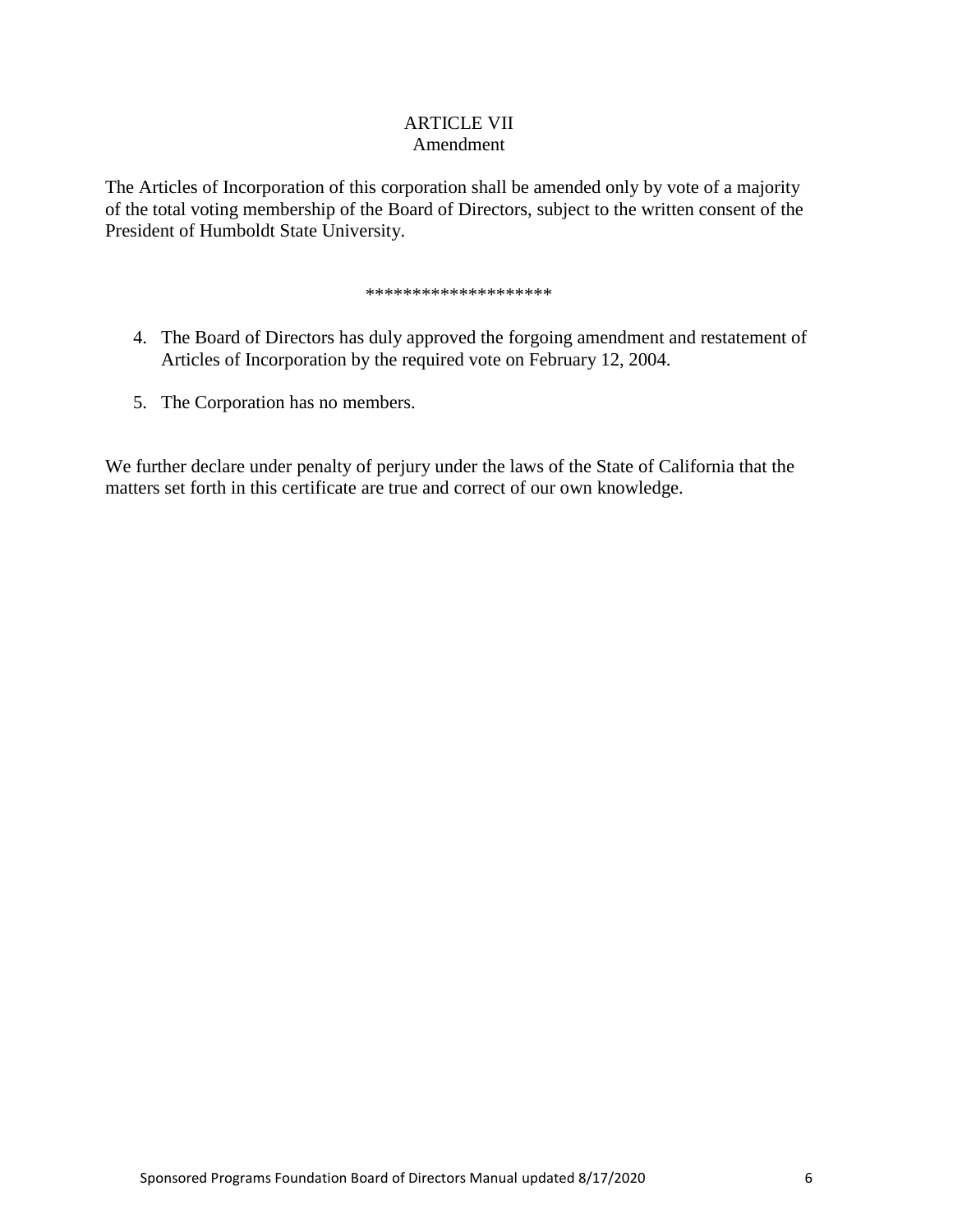#### ARTICLE VII Amendment

<span id="page-5-0"></span>The Articles of Incorporation of this corporation shall be amended only by vote of a majority of the total voting membership of the Board of Directors, subject to the written consent of the President of Humboldt State University.

#### \*\*\*\*\*\*\*\*\*\*\*\*\*\*\*\*\*\*\*\*

- 4. The Board of Directors has duly approved the forgoing amendment and restatement of Articles of Incorporation by the required vote on February 12, 2004.
- 5. The Corporation has no members.

We further declare under penalty of perjury under the laws of the State of California that the matters set forth in this certificate are true and correct of our own knowledge.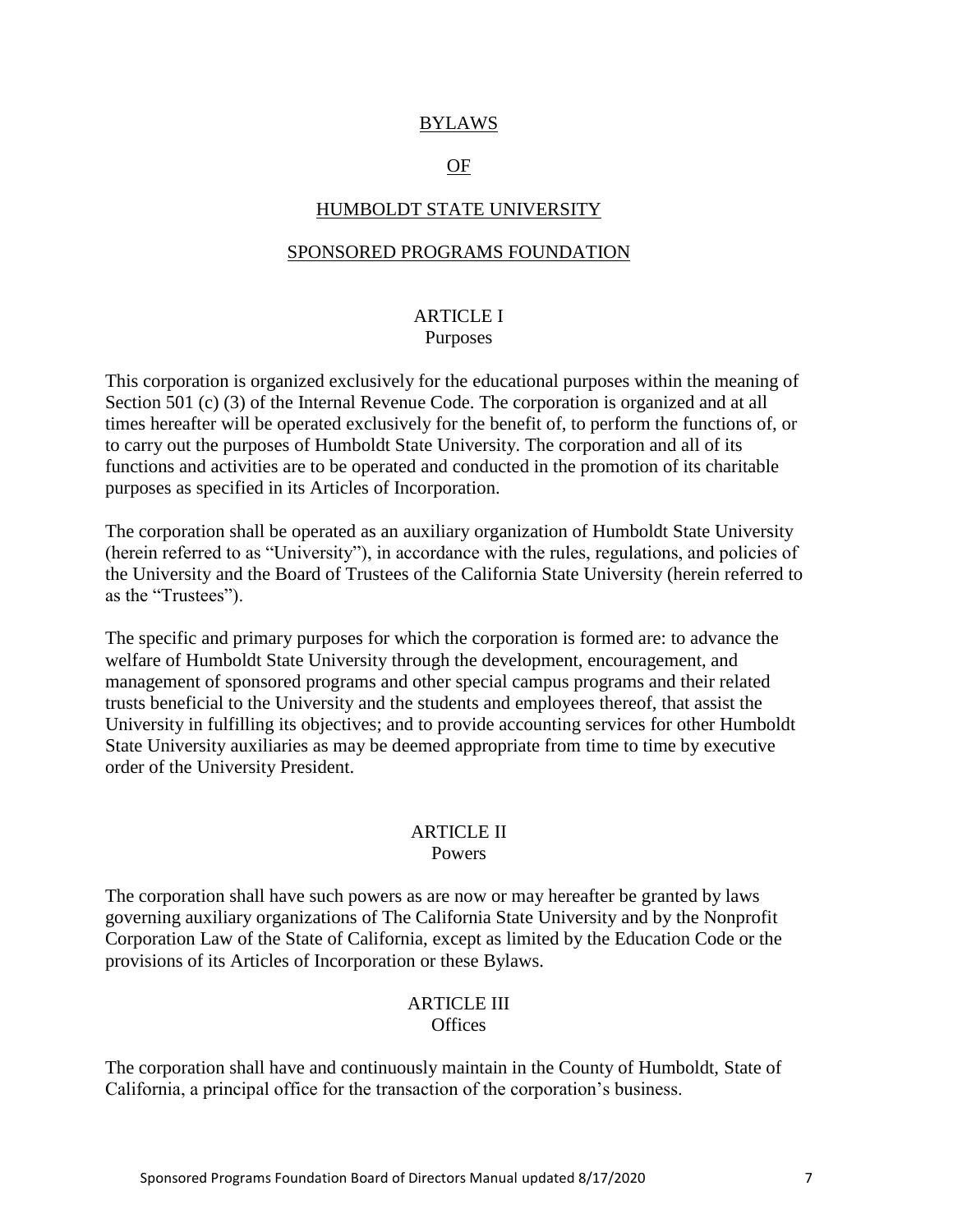#### BYLAWS

#### OF

#### HUMBOLDT STATE UNIVERSITY

#### <span id="page-6-0"></span>SPONSORED PROGRAMS FOUNDATION

#### ARTICLE I Purposes

<span id="page-6-1"></span>This corporation is organized exclusively for the educational purposes within the meaning of Section 501 (c) (3) of the Internal Revenue Code. The corporation is organized and at all times hereafter will be operated exclusively for the benefit of, to perform the functions of, or to carry out the purposes of Humboldt State University. The corporation and all of its functions and activities are to be operated and conducted in the promotion of its charitable purposes as specified in its Articles of Incorporation.

The corporation shall be operated as an auxiliary organization of Humboldt State University (herein referred to as "University"), in accordance with the rules, regulations, and policies of the University and the Board of Trustees of the California State University (herein referred to as the "Trustees").

The specific and primary purposes for which the corporation is formed are: to advance the welfare of Humboldt State University through the development, encouragement, and management of sponsored programs and other special campus programs and their related trusts beneficial to the University and the students and employees thereof, that assist the University in fulfilling its objectives; and to provide accounting services for other Humboldt State University auxiliaries as may be deemed appropriate from time to time by executive order of the University President.

#### ARTICLE II Powers

<span id="page-6-2"></span>The corporation shall have such powers as are now or may hereafter be granted by laws governing auxiliary organizations of The California State University and by the Nonprofit Corporation Law of the State of California, except as limited by the Education Code or the provisions of its Articles of Incorporation or these Bylaws.

#### ARTICLE III

**Offices** 

<span id="page-6-3"></span>The corporation shall have and continuously maintain in the County of Humboldt, State of California, a principal office for the transaction of the corporation's business.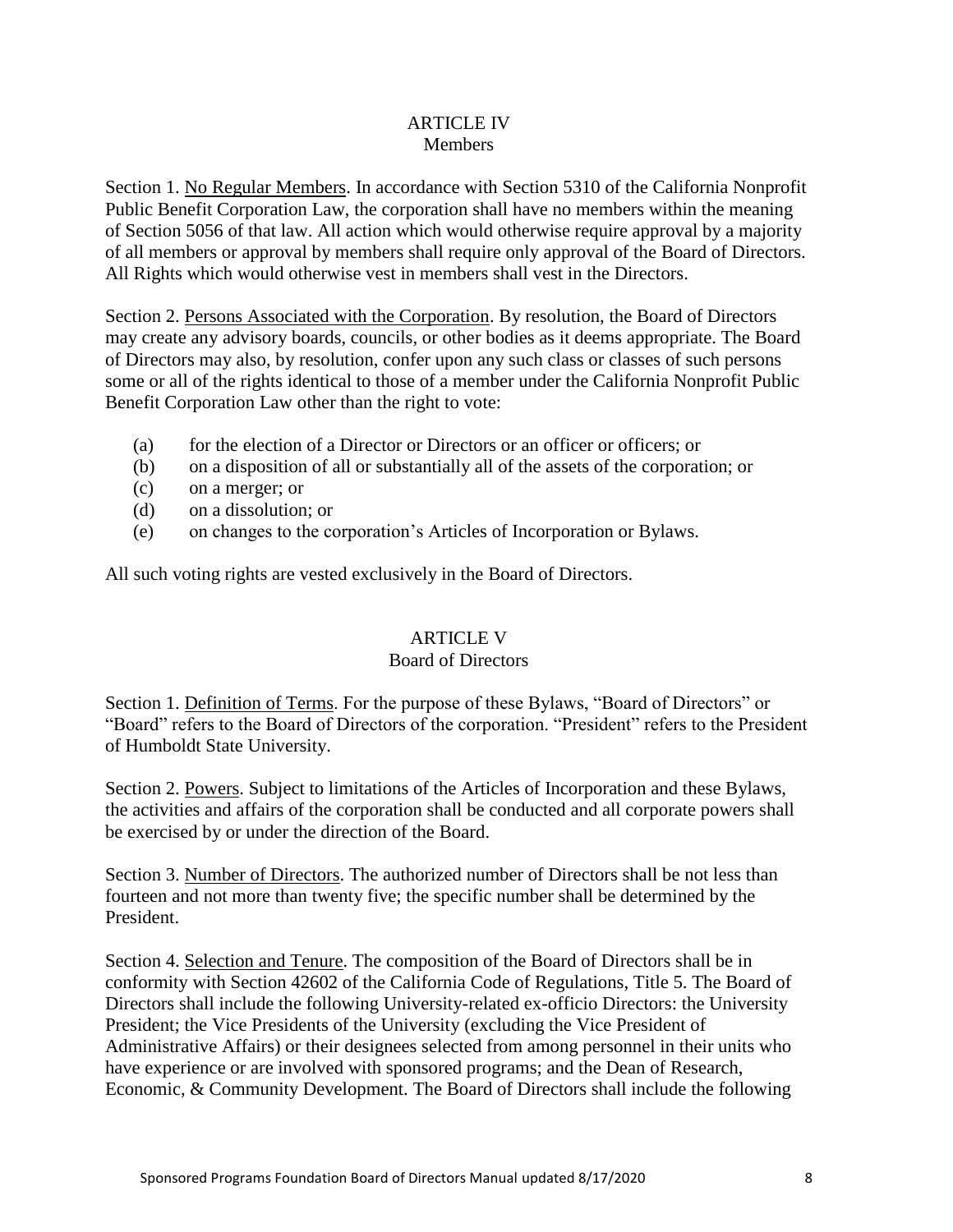#### ARTICLE IV **Members**

<span id="page-7-0"></span>Section 1. No Regular Members. In accordance with Section 5310 of the California Nonprofit Public Benefit Corporation Law, the corporation shall have no members within the meaning of Section 5056 of that law. All action which would otherwise require approval by a majority of all members or approval by members shall require only approval of the Board of Directors. All Rights which would otherwise vest in members shall vest in the Directors.

Section 2. Persons Associated with the Corporation. By resolution, the Board of Directors may create any advisory boards, councils, or other bodies as it deems appropriate. The Board of Directors may also, by resolution, confer upon any such class or classes of such persons some or all of the rights identical to those of a member under the California Nonprofit Public Benefit Corporation Law other than the right to vote:

- (a) for the election of a Director or Directors or an officer or officers; or
- (b) on a disposition of all or substantially all of the assets of the corporation; or
- (c) on a merger; or
- (d) on a dissolution; or
- (e) on changes to the corporation's Articles of Incorporation or Bylaws.

<span id="page-7-1"></span>All such voting rights are vested exclusively in the Board of Directors.

# ARTICLE V

### Board of Directors

Section 1. Definition of Terms. For the purpose of these Bylaws, "Board of Directors" or "Board" refers to the Board of Directors of the corporation. "President" refers to the President of Humboldt State University.

Section 2. Powers. Subject to limitations of the Articles of Incorporation and these Bylaws, the activities and affairs of the corporation shall be conducted and all corporate powers shall be exercised by or under the direction of the Board.

Section 3. Number of Directors. The authorized number of Directors shall be not less than fourteen and not more than twenty five; the specific number shall be determined by the President.

Section 4. Selection and Tenure. The composition of the Board of Directors shall be in conformity with Section 42602 of the California Code of Regulations, Title 5. The Board of Directors shall include the following University-related ex-officio Directors: the University President; the Vice Presidents of the University (excluding the Vice President of Administrative Affairs) or their designees selected from among personnel in their units who have experience or are involved with sponsored programs; and the Dean of Research, Economic, & Community Development. The Board of Directors shall include the following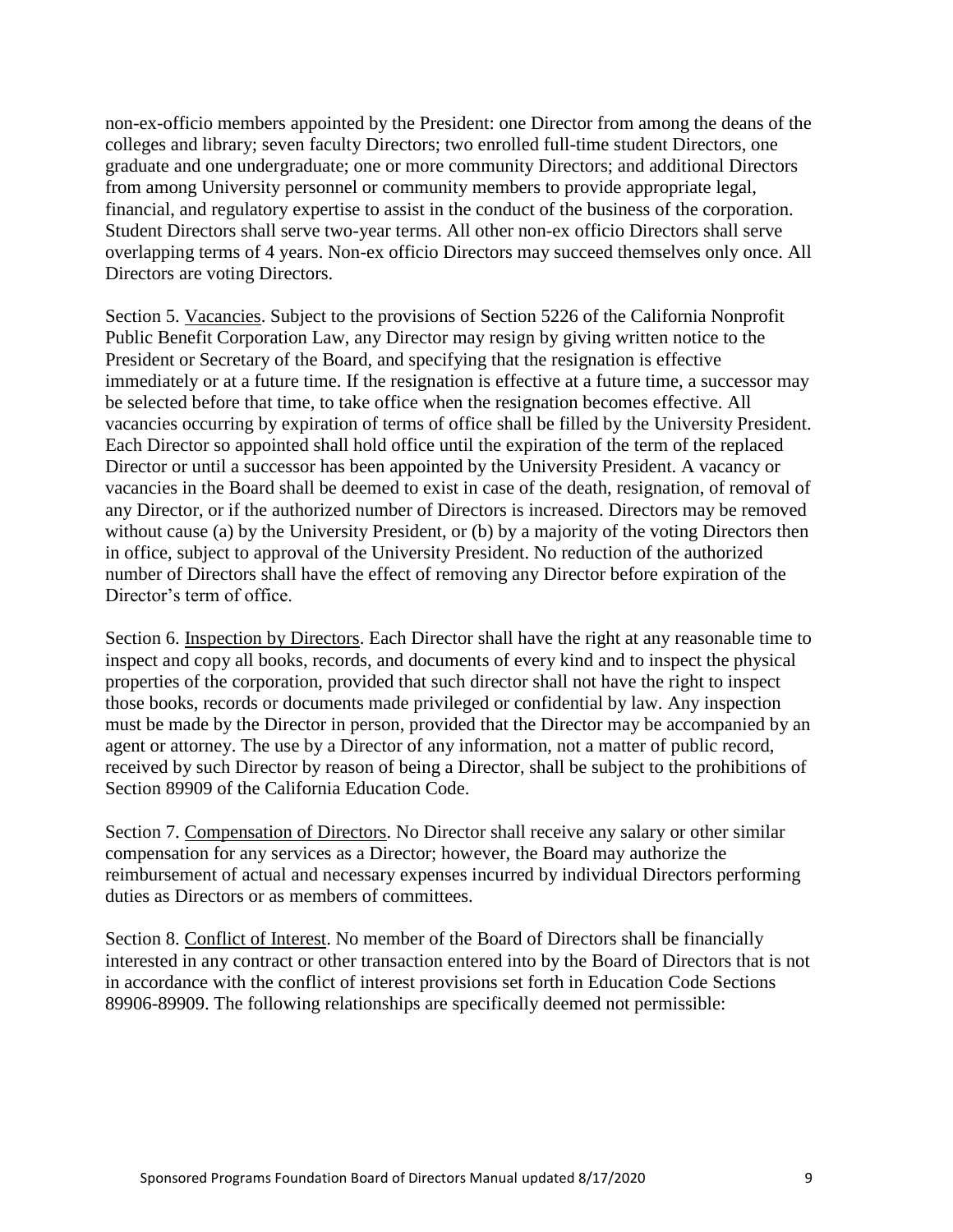non-ex-officio members appointed by the President: one Director from among the deans of the colleges and library; seven faculty Directors; two enrolled full-time student Directors, one graduate and one undergraduate; one or more community Directors; and additional Directors from among University personnel or community members to provide appropriate legal, financial, and regulatory expertise to assist in the conduct of the business of the corporation. Student Directors shall serve two-year terms. All other non-ex officio Directors shall serve overlapping terms of 4 years. Non-ex officio Directors may succeed themselves only once. All Directors are voting Directors.

Section 5. Vacancies. Subject to the provisions of Section 5226 of the California Nonprofit Public Benefit Corporation Law, any Director may resign by giving written notice to the President or Secretary of the Board, and specifying that the resignation is effective immediately or at a future time. If the resignation is effective at a future time, a successor may be selected before that time, to take office when the resignation becomes effective. All vacancies occurring by expiration of terms of office shall be filled by the University President. Each Director so appointed shall hold office until the expiration of the term of the replaced Director or until a successor has been appointed by the University President. A vacancy or vacancies in the Board shall be deemed to exist in case of the death, resignation, of removal of any Director, or if the authorized number of Directors is increased. Directors may be removed without cause (a) by the University President, or (b) by a majority of the voting Directors then in office, subject to approval of the University President. No reduction of the authorized number of Directors shall have the effect of removing any Director before expiration of the Director's term of office.

Section 6. Inspection by Directors. Each Director shall have the right at any reasonable time to inspect and copy all books, records, and documents of every kind and to inspect the physical properties of the corporation, provided that such director shall not have the right to inspect those books, records or documents made privileged or confidential by law. Any inspection must be made by the Director in person, provided that the Director may be accompanied by an agent or attorney. The use by a Director of any information, not a matter of public record, received by such Director by reason of being a Director, shall be subject to the prohibitions of Section 89909 of the California Education Code.

Section 7. Compensation of Directors. No Director shall receive any salary or other similar compensation for any services as a Director; however, the Board may authorize the reimbursement of actual and necessary expenses incurred by individual Directors performing duties as Directors or as members of committees.

Section 8. Conflict of Interest. No member of the Board of Directors shall be financially interested in any contract or other transaction entered into by the Board of Directors that is not in accordance with the conflict of interest provisions set forth in Education Code Sections 89906-89909. The following relationships are specifically deemed not permissible: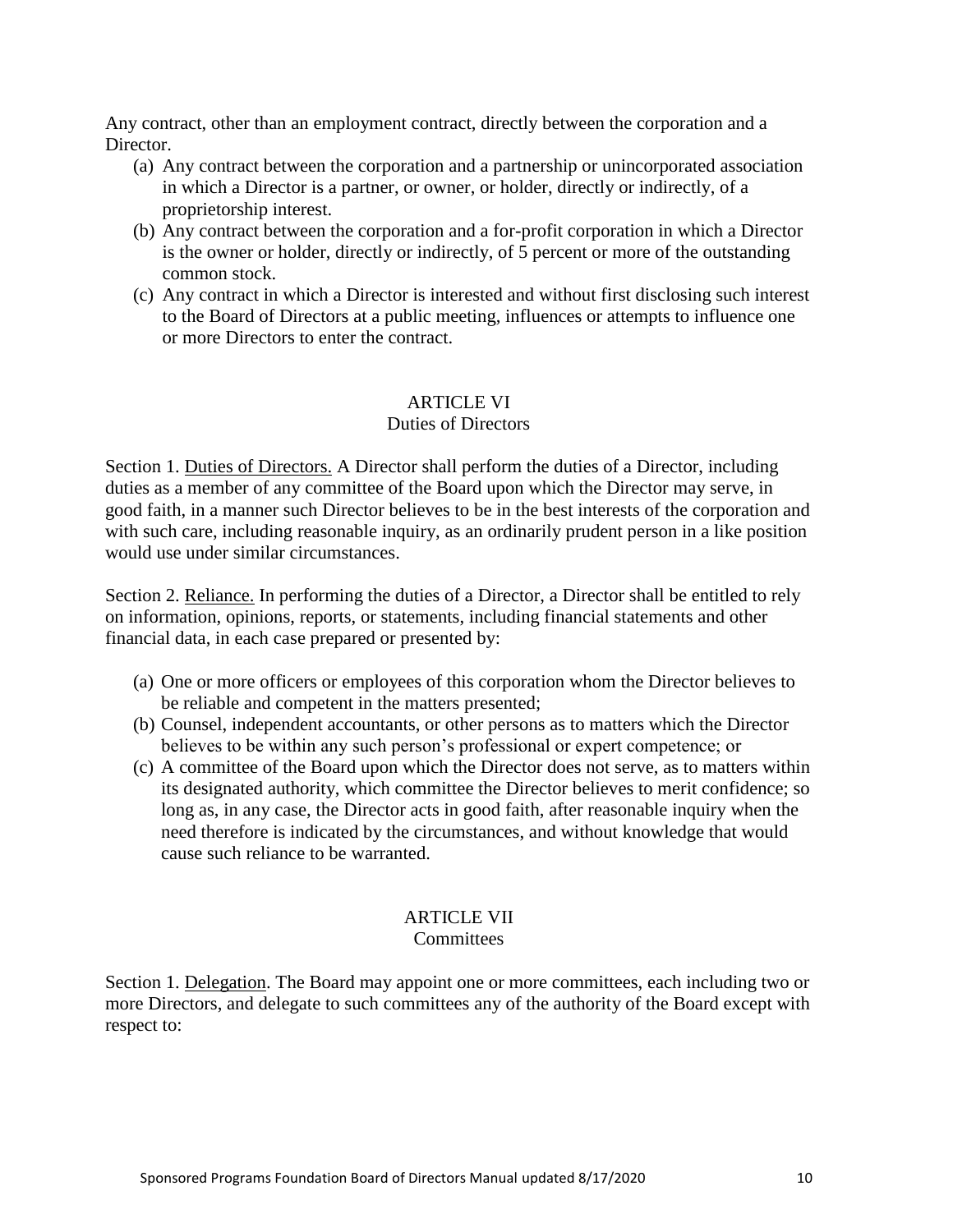Any contract, other than an employment contract, directly between the corporation and a Director.

- (a) Any contract between the corporation and a partnership or unincorporated association in which a Director is a partner, or owner, or holder, directly or indirectly, of a proprietorship interest.
- (b) Any contract between the corporation and a for-profit corporation in which a Director is the owner or holder, directly or indirectly, of 5 percent or more of the outstanding common stock.
- (c) Any contract in which a Director is interested and without first disclosing such interest to the Board of Directors at a public meeting, influences or attempts to influence one or more Directors to enter the contract.

## ARTICLE VI

#### Duties of Directors

<span id="page-9-0"></span>Section 1. Duties of Directors. A Director shall perform the duties of a Director, including duties as a member of any committee of the Board upon which the Director may serve, in good faith, in a manner such Director believes to be in the best interests of the corporation and with such care, including reasonable inquiry, as an ordinarily prudent person in a like position would use under similar circumstances.

Section 2. Reliance. In performing the duties of a Director, a Director shall be entitled to rely on information, opinions, reports, or statements, including financial statements and other financial data, in each case prepared or presented by:

- (a) One or more officers or employees of this corporation whom the Director believes to be reliable and competent in the matters presented;
- (b) Counsel, independent accountants, or other persons as to matters which the Director believes to be within any such person's professional or expert competence; or
- (c) A committee of the Board upon which the Director does not serve, as to matters within its designated authority, which committee the Director believes to merit confidence; so long as, in any case, the Director acts in good faith, after reasonable inquiry when the need therefore is indicated by the circumstances, and without knowledge that would cause such reliance to be warranted.

## ARTICLE VII

#### **Committees**

<span id="page-9-1"></span>Section 1. Delegation. The Board may appoint one or more committees, each including two or more Directors, and delegate to such committees any of the authority of the Board except with respect to: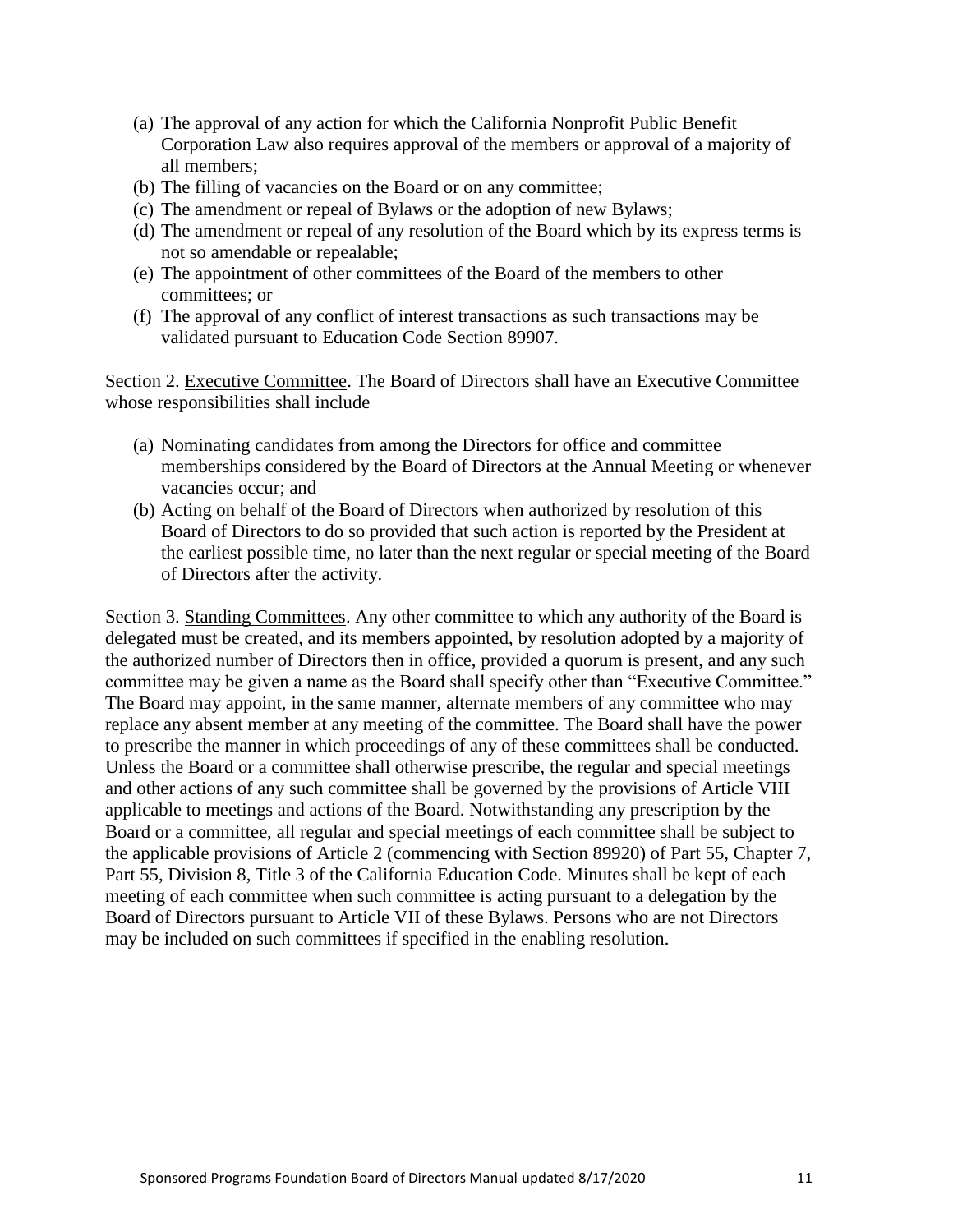- (a) The approval of any action for which the California Nonprofit Public Benefit Corporation Law also requires approval of the members or approval of a majority of all members;
- (b) The filling of vacancies on the Board or on any committee;
- (c) The amendment or repeal of Bylaws or the adoption of new Bylaws;
- (d) The amendment or repeal of any resolution of the Board which by its express terms is not so amendable or repealable;
- (e) The appointment of other committees of the Board of the members to other committees; or
- (f) The approval of any conflict of interest transactions as such transactions may be validated pursuant to Education Code Section 89907.

Section 2. Executive Committee. The Board of Directors shall have an Executive Committee whose responsibilities shall include

- (a) Nominating candidates from among the Directors for office and committee memberships considered by the Board of Directors at the Annual Meeting or whenever vacancies occur; and
- (b) Acting on behalf of the Board of Directors when authorized by resolution of this Board of Directors to do so provided that such action is reported by the President at the earliest possible time, no later than the next regular or special meeting of the Board of Directors after the activity.

Section 3. Standing Committees. Any other committee to which any authority of the Board is delegated must be created, and its members appointed, by resolution adopted by a majority of the authorized number of Directors then in office, provided a quorum is present, and any such committee may be given a name as the Board shall specify other than "Executive Committee." The Board may appoint, in the same manner, alternate members of any committee who may replace any absent member at any meeting of the committee. The Board shall have the power to prescribe the manner in which proceedings of any of these committees shall be conducted. Unless the Board or a committee shall otherwise prescribe, the regular and special meetings and other actions of any such committee shall be governed by the provisions of Article VIII applicable to meetings and actions of the Board. Notwithstanding any prescription by the Board or a committee, all regular and special meetings of each committee shall be subject to the applicable provisions of Article 2 (commencing with Section 89920) of Part 55, Chapter 7, Part 55, Division 8, Title 3 of the California Education Code. Minutes shall be kept of each meeting of each committee when such committee is acting pursuant to a delegation by the Board of Directors pursuant to Article VII of these Bylaws. Persons who are not Directors may be included on such committees if specified in the enabling resolution.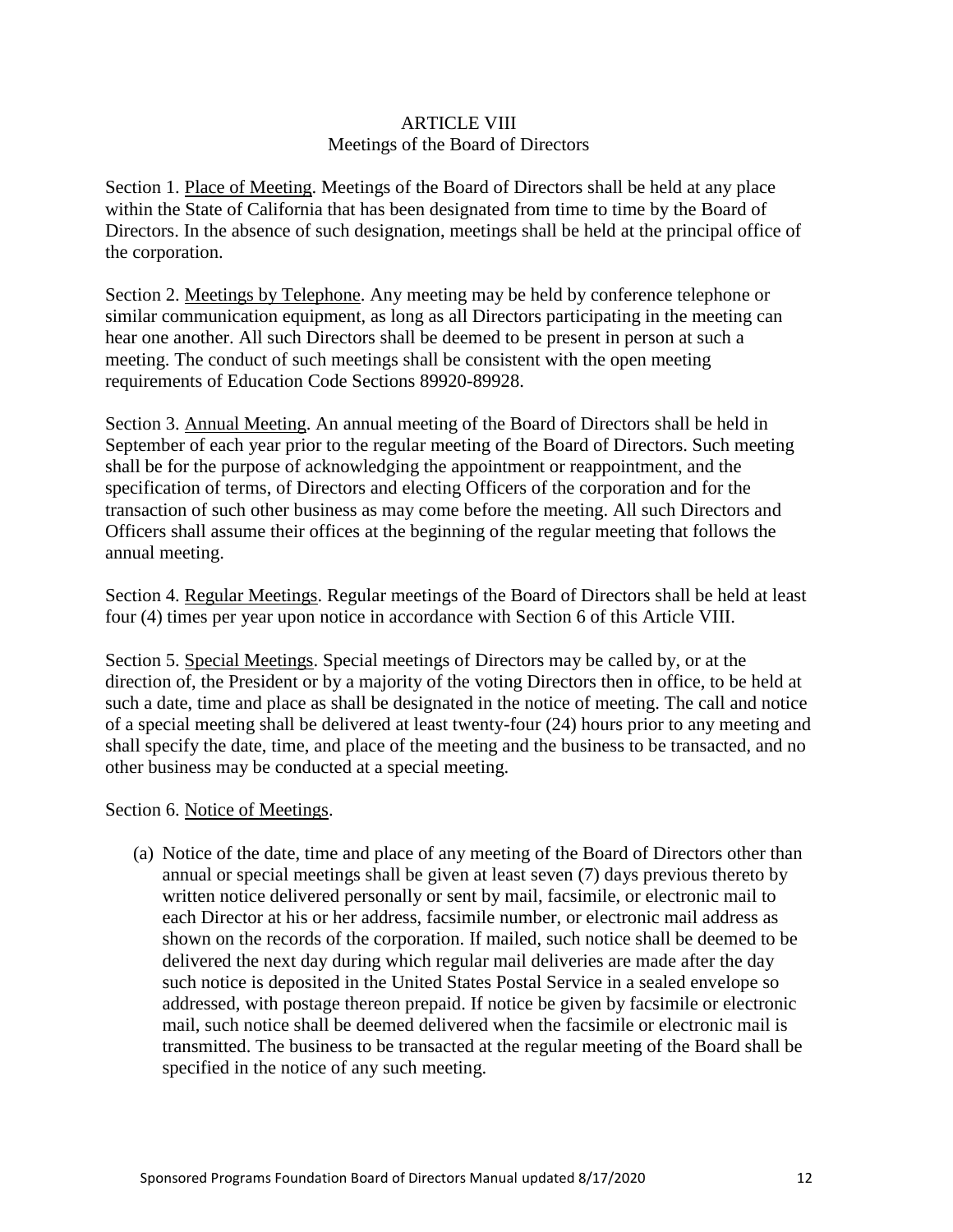#### ARTICLE VIII Meetings of the Board of Directors

<span id="page-11-0"></span>Section 1. Place of Meeting. Meetings of the Board of Directors shall be held at any place within the State of California that has been designated from time to time by the Board of Directors. In the absence of such designation, meetings shall be held at the principal office of the corporation.

Section 2. Meetings by Telephone. Any meeting may be held by conference telephone or similar communication equipment, as long as all Directors participating in the meeting can hear one another. All such Directors shall be deemed to be present in person at such a meeting. The conduct of such meetings shall be consistent with the open meeting requirements of Education Code Sections 89920-89928.

Section 3. Annual Meeting. An annual meeting of the Board of Directors shall be held in September of each year prior to the regular meeting of the Board of Directors. Such meeting shall be for the purpose of acknowledging the appointment or reappointment, and the specification of terms, of Directors and electing Officers of the corporation and for the transaction of such other business as may come before the meeting. All such Directors and Officers shall assume their offices at the beginning of the regular meeting that follows the annual meeting.

Section 4. Regular Meetings. Regular meetings of the Board of Directors shall be held at least four (4) times per year upon notice in accordance with Section 6 of this Article VIII.

Section 5. Special Meetings. Special meetings of Directors may be called by, or at the direction of, the President or by a majority of the voting Directors then in office, to be held at such a date, time and place as shall be designated in the notice of meeting. The call and notice of a special meeting shall be delivered at least twenty-four (24) hours prior to any meeting and shall specify the date, time, and place of the meeting and the business to be transacted, and no other business may be conducted at a special meeting.

#### Section 6. Notice of Meetings.

(a) Notice of the date, time and place of any meeting of the Board of Directors other than annual or special meetings shall be given at least seven (7) days previous thereto by written notice delivered personally or sent by mail, facsimile, or electronic mail to each Director at his or her address, facsimile number, or electronic mail address as shown on the records of the corporation. If mailed, such notice shall be deemed to be delivered the next day during which regular mail deliveries are made after the day such notice is deposited in the United States Postal Service in a sealed envelope so addressed, with postage thereon prepaid. If notice be given by facsimile or electronic mail, such notice shall be deemed delivered when the facsimile or electronic mail is transmitted. The business to be transacted at the regular meeting of the Board shall be specified in the notice of any such meeting.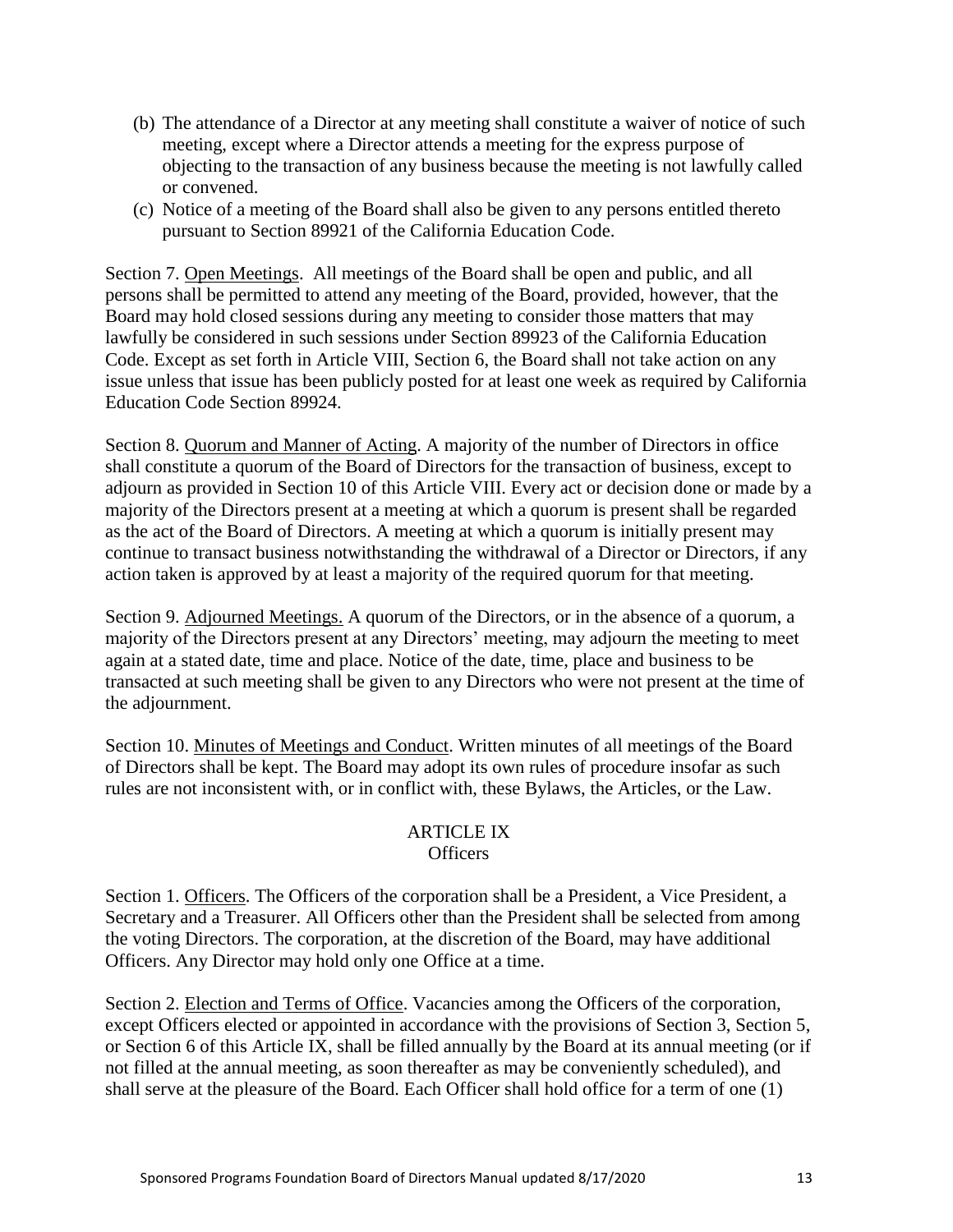- (b) The attendance of a Director at any meeting shall constitute a waiver of notice of such meeting, except where a Director attends a meeting for the express purpose of objecting to the transaction of any business because the meeting is not lawfully called or convened.
- (c) Notice of a meeting of the Board shall also be given to any persons entitled thereto pursuant to Section 89921 of the California Education Code.

Section 7. Open Meetings. All meetings of the Board shall be open and public, and all persons shall be permitted to attend any meeting of the Board, provided, however, that the Board may hold closed sessions during any meeting to consider those matters that may lawfully be considered in such sessions under Section 89923 of the California Education Code. Except as set forth in Article VIII, Section 6, the Board shall not take action on any issue unless that issue has been publicly posted for at least one week as required by California Education Code Section 89924.

Section 8. Quorum and Manner of Acting. A majority of the number of Directors in office shall constitute a quorum of the Board of Directors for the transaction of business, except to adjourn as provided in Section 10 of this Article VIII. Every act or decision done or made by a majority of the Directors present at a meeting at which a quorum is present shall be regarded as the act of the Board of Directors. A meeting at which a quorum is initially present may continue to transact business notwithstanding the withdrawal of a Director or Directors, if any action taken is approved by at least a majority of the required quorum for that meeting.

Section 9. Adjourned Meetings. A quorum of the Directors, or in the absence of a quorum, a majority of the Directors present at any Directors' meeting, may adjourn the meeting to meet again at a stated date, time and place. Notice of the date, time, place and business to be transacted at such meeting shall be given to any Directors who were not present at the time of the adjournment.

Section 10. Minutes of Meetings and Conduct. Written minutes of all meetings of the Board of Directors shall be kept. The Board may adopt its own rules of procedure insofar as such rules are not inconsistent with, or in conflict with, these Bylaws, the Articles, or the Law.

#### ARTICLE IX Officers

<span id="page-12-0"></span>Section 1. Officers. The Officers of the corporation shall be a President, a Vice President, a Secretary and a Treasurer. All Officers other than the President shall be selected from among the voting Directors. The corporation, at the discretion of the Board, may have additional Officers. Any Director may hold only one Office at a time.

Section 2. Election and Terms of Office. Vacancies among the Officers of the corporation, except Officers elected or appointed in accordance with the provisions of Section 3, Section 5, or Section 6 of this Article IX, shall be filled annually by the Board at its annual meeting (or if not filled at the annual meeting, as soon thereafter as may be conveniently scheduled), and shall serve at the pleasure of the Board. Each Officer shall hold office for a term of one (1)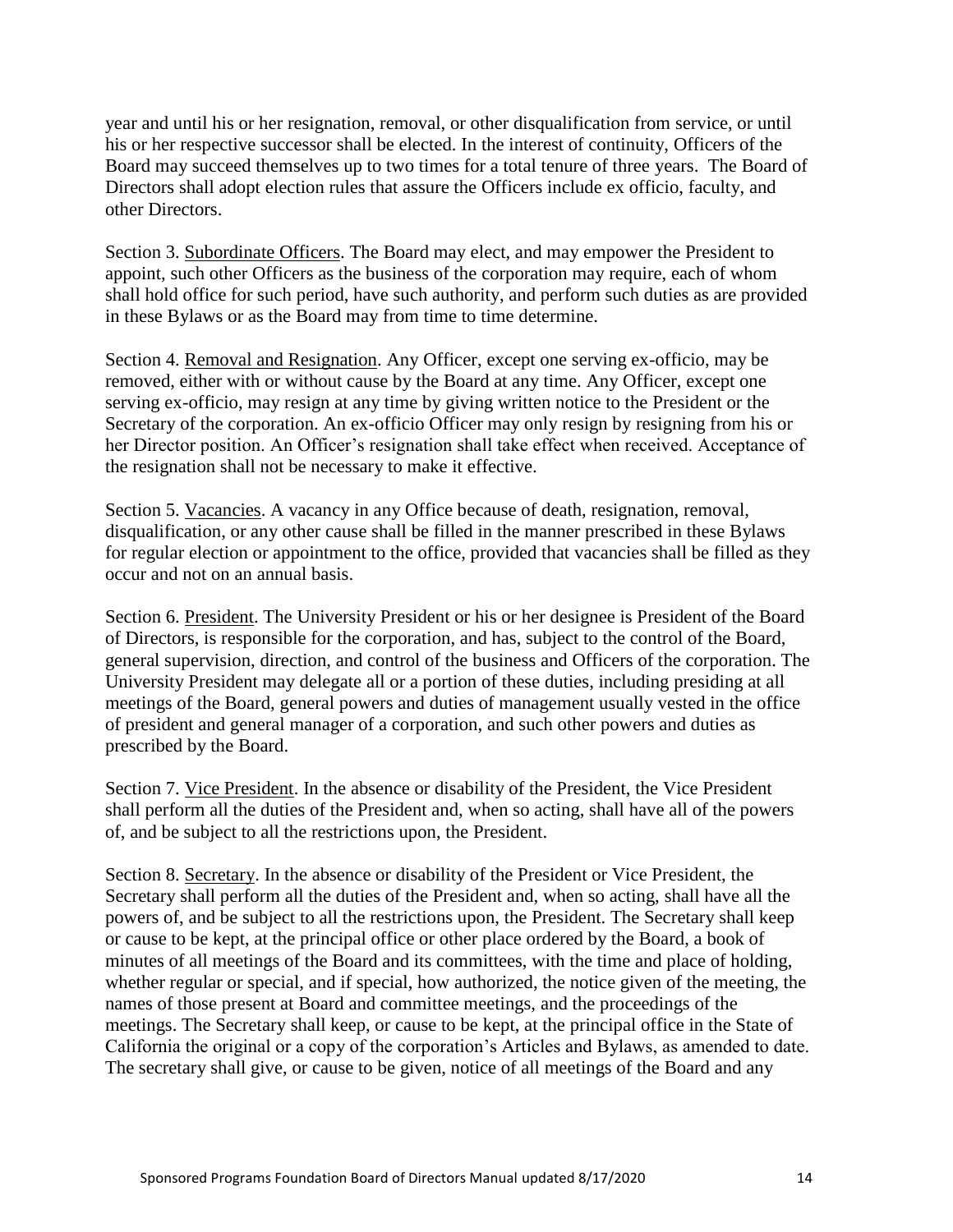year and until his or her resignation, removal, or other disqualification from service, or until his or her respective successor shall be elected. In the interest of continuity, Officers of the Board may succeed themselves up to two times for a total tenure of three years. The Board of Directors shall adopt election rules that assure the Officers include ex officio, faculty, and other Directors.

Section 3. Subordinate Officers. The Board may elect, and may empower the President to appoint, such other Officers as the business of the corporation may require, each of whom shall hold office for such period, have such authority, and perform such duties as are provided in these Bylaws or as the Board may from time to time determine.

Section 4. Removal and Resignation. Any Officer, except one serving ex-officio, may be removed, either with or without cause by the Board at any time. Any Officer, except one serving ex-officio, may resign at any time by giving written notice to the President or the Secretary of the corporation. An ex-officio Officer may only resign by resigning from his or her Director position. An Officer's resignation shall take effect when received. Acceptance of the resignation shall not be necessary to make it effective.

Section 5. Vacancies. A vacancy in any Office because of death, resignation, removal, disqualification, or any other cause shall be filled in the manner prescribed in these Bylaws for regular election or appointment to the office, provided that vacancies shall be filled as they occur and not on an annual basis.

Section 6. President. The University President or his or her designee is President of the Board of Directors, is responsible for the corporation, and has, subject to the control of the Board, general supervision, direction, and control of the business and Officers of the corporation. The University President may delegate all or a portion of these duties, including presiding at all meetings of the Board, general powers and duties of management usually vested in the office of president and general manager of a corporation, and such other powers and duties as prescribed by the Board.

Section 7. Vice President. In the absence or disability of the President, the Vice President shall perform all the duties of the President and, when so acting, shall have all of the powers of, and be subject to all the restrictions upon, the President.

Section 8. Secretary. In the absence or disability of the President or Vice President, the Secretary shall perform all the duties of the President and, when so acting, shall have all the powers of, and be subject to all the restrictions upon, the President. The Secretary shall keep or cause to be kept, at the principal office or other place ordered by the Board, a book of minutes of all meetings of the Board and its committees, with the time and place of holding, whether regular or special, and if special, how authorized, the notice given of the meeting, the names of those present at Board and committee meetings, and the proceedings of the meetings. The Secretary shall keep, or cause to be kept, at the principal office in the State of California the original or a copy of the corporation's Articles and Bylaws, as amended to date. The secretary shall give, or cause to be given, notice of all meetings of the Board and any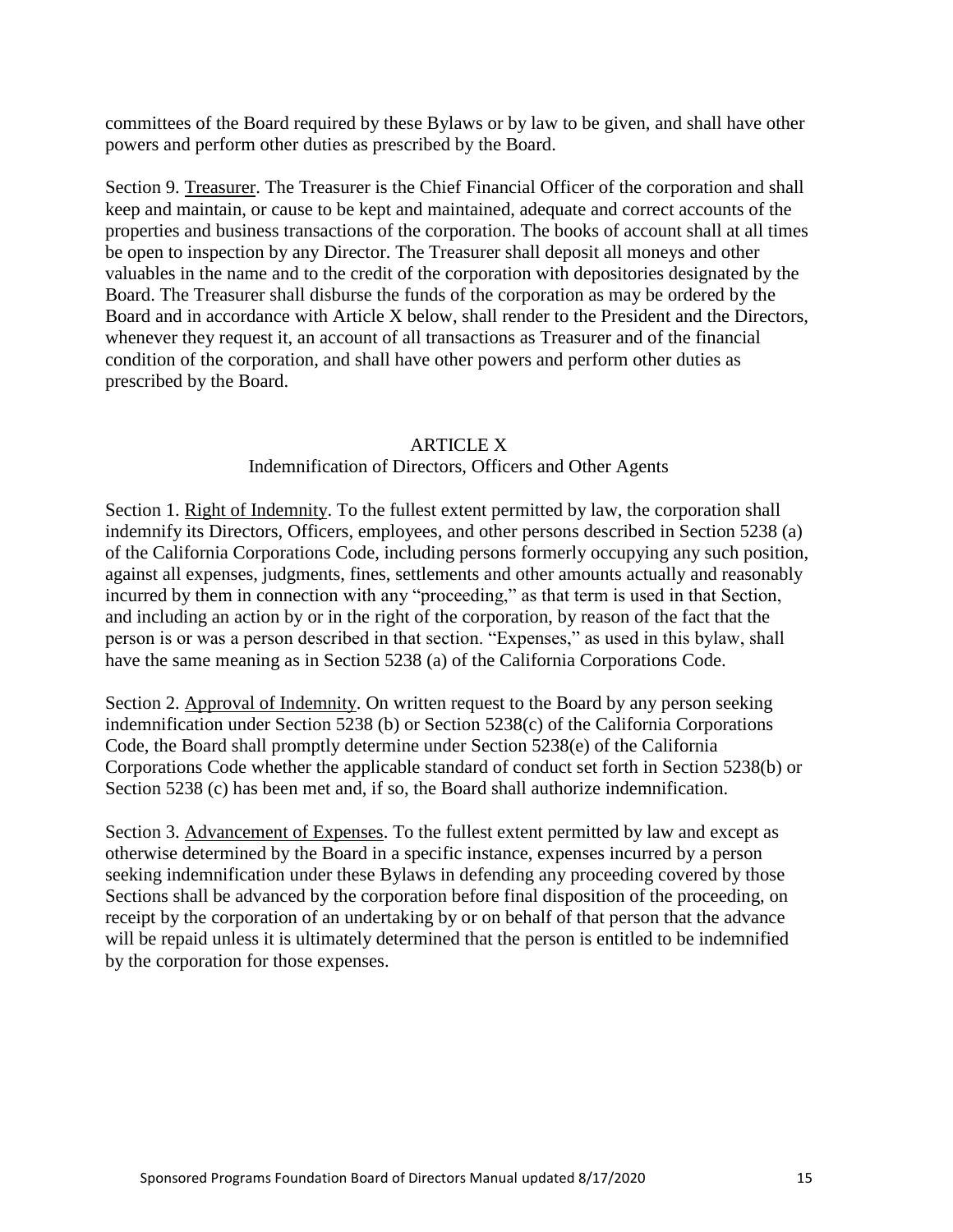committees of the Board required by these Bylaws or by law to be given, and shall have other powers and perform other duties as prescribed by the Board.

Section 9. Treasurer. The Treasurer is the Chief Financial Officer of the corporation and shall keep and maintain, or cause to be kept and maintained, adequate and correct accounts of the properties and business transactions of the corporation. The books of account shall at all times be open to inspection by any Director. The Treasurer shall deposit all moneys and other valuables in the name and to the credit of the corporation with depositories designated by the Board. The Treasurer shall disburse the funds of the corporation as may be ordered by the Board and in accordance with Article X below, shall render to the President and the Directors, whenever they request it, an account of all transactions as Treasurer and of the financial condition of the corporation, and shall have other powers and perform other duties as prescribed by the Board.

#### ARTICLE X

#### Indemnification of Directors, Officers and Other Agents

<span id="page-14-0"></span>Section 1. Right of Indemnity. To the fullest extent permitted by law, the corporation shall indemnify its Directors, Officers, employees, and other persons described in Section 5238 (a) of the California Corporations Code, including persons formerly occupying any such position, against all expenses, judgments, fines, settlements and other amounts actually and reasonably incurred by them in connection with any "proceeding," as that term is used in that Section, and including an action by or in the right of the corporation, by reason of the fact that the person is or was a person described in that section. "Expenses," as used in this bylaw, shall have the same meaning as in Section 5238 (a) of the California Corporations Code.

Section 2. Approval of Indemnity. On written request to the Board by any person seeking indemnification under Section 5238 (b) or Section 5238(c) of the California Corporations Code, the Board shall promptly determine under Section 5238(e) of the California Corporations Code whether the applicable standard of conduct set forth in Section 5238(b) or Section 5238 (c) has been met and, if so, the Board shall authorize indemnification.

Section 3. Advancement of Expenses. To the fullest extent permitted by law and except as otherwise determined by the Board in a specific instance, expenses incurred by a person seeking indemnification under these Bylaws in defending any proceeding covered by those Sections shall be advanced by the corporation before final disposition of the proceeding, on receipt by the corporation of an undertaking by or on behalf of that person that the advance will be repaid unless it is ultimately determined that the person is entitled to be indemnified by the corporation for those expenses.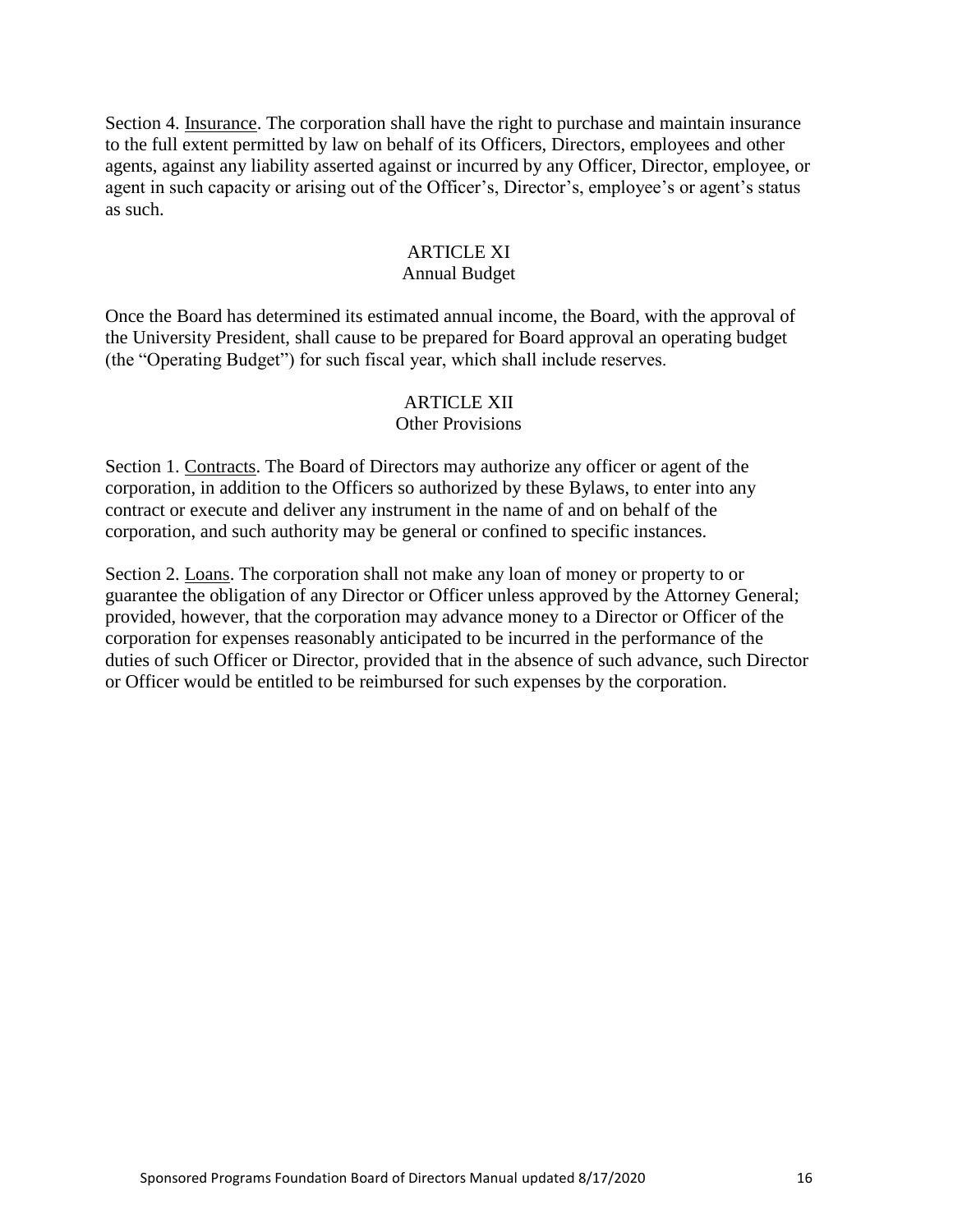Section 4. Insurance. The corporation shall have the right to purchase and maintain insurance to the full extent permitted by law on behalf of its Officers, Directors, employees and other agents, against any liability asserted against or incurred by any Officer, Director, employee, or agent in such capacity or arising out of the Officer's, Director's, employee's or agent's status as such.

#### **ARTICLE XI**

#### Annual Budget

<span id="page-15-0"></span>Once the Board has determined its estimated annual income, the Board, with the approval of the University President, shall cause to be prepared for Board approval an operating budget (the "Operating Budget") for such fiscal year, which shall include reserves.

#### ARTICLE XII

#### Other Provisions

<span id="page-15-1"></span>Section 1. Contracts. The Board of Directors may authorize any officer or agent of the corporation, in addition to the Officers so authorized by these Bylaws, to enter into any contract or execute and deliver any instrument in the name of and on behalf of the corporation, and such authority may be general or confined to specific instances.

Section 2. Loans. The corporation shall not make any loan of money or property to or guarantee the obligation of any Director or Officer unless approved by the Attorney General; provided, however, that the corporation may advance money to a Director or Officer of the corporation for expenses reasonably anticipated to be incurred in the performance of the duties of such Officer or Director, provided that in the absence of such advance, such Director or Officer would be entitled to be reimbursed for such expenses by the corporation.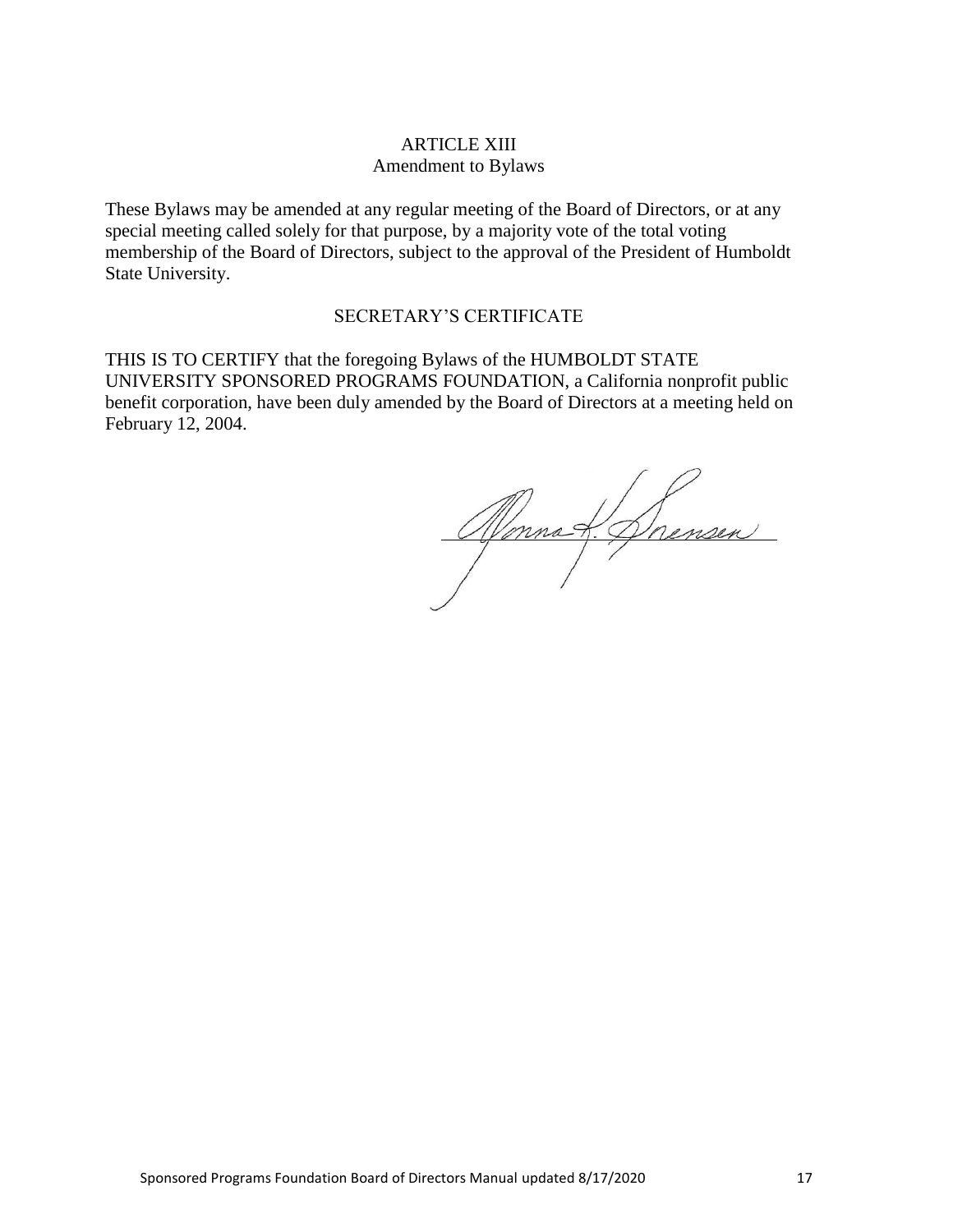### ARTICLE XIII Amendment to Bylaws

<span id="page-16-0"></span>These Bylaws may be amended at any regular meeting of the Board of Directors, or at any special meeting called solely for that purpose, by a majority vote of the total voting membership of the Board of Directors, subject to the approval of the President of Humboldt State University.

#### SECRETARY'S CERTIFICATE

THIS IS TO CERTIFY that the foregoing Bylaws of the HUMBOLDT STATE UNIVERSITY SPONSORED PROGRAMS FOUNDATION, a California nonprofit public benefit corporation, have been duly amended by the Board of Directors at a meeting held on February 12, 2004.

Monnat Doensen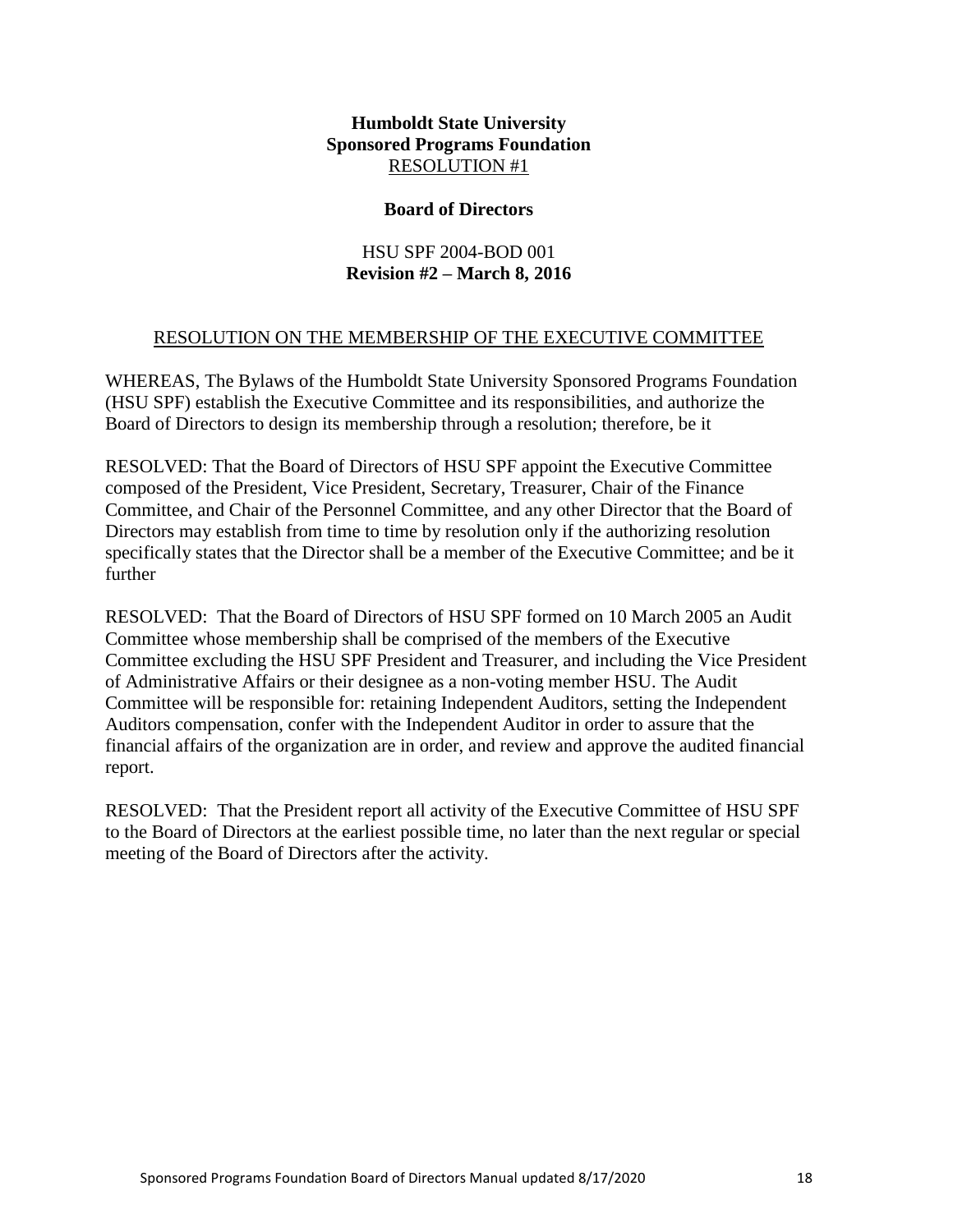#### **Board of Directors**

## HSU SPF 2004-BOD 001 **Revision #2 – March 8, 2016**

## RESOLUTION ON THE MEMBERSHIP OF THE EXECUTIVE COMMITTEE

<span id="page-17-0"></span>WHEREAS, The Bylaws of the Humboldt State University Sponsored Programs Foundation (HSU SPF) establish the Executive Committee and its responsibilities, and authorize the Board of Directors to design its membership through a resolution; therefore, be it

RESOLVED: That the Board of Directors of HSU SPF appoint the Executive Committee composed of the President, Vice President, Secretary, Treasurer, Chair of the Finance Committee, and Chair of the Personnel Committee, and any other Director that the Board of Directors may establish from time to time by resolution only if the authorizing resolution specifically states that the Director shall be a member of the Executive Committee; and be it further

RESOLVED: That the Board of Directors of HSU SPF formed on 10 March 2005 an Audit Committee whose membership shall be comprised of the members of the Executive Committee excluding the HSU SPF President and Treasurer, and including the Vice President of Administrative Affairs or their designee as a non-voting member HSU. The Audit Committee will be responsible for: retaining Independent Auditors, setting the Independent Auditors compensation, confer with the Independent Auditor in order to assure that the financial affairs of the organization are in order, and review and approve the audited financial report.

RESOLVED: That the President report all activity of the Executive Committee of HSU SPF to the Board of Directors at the earliest possible time, no later than the next regular or special meeting of the Board of Directors after the activity.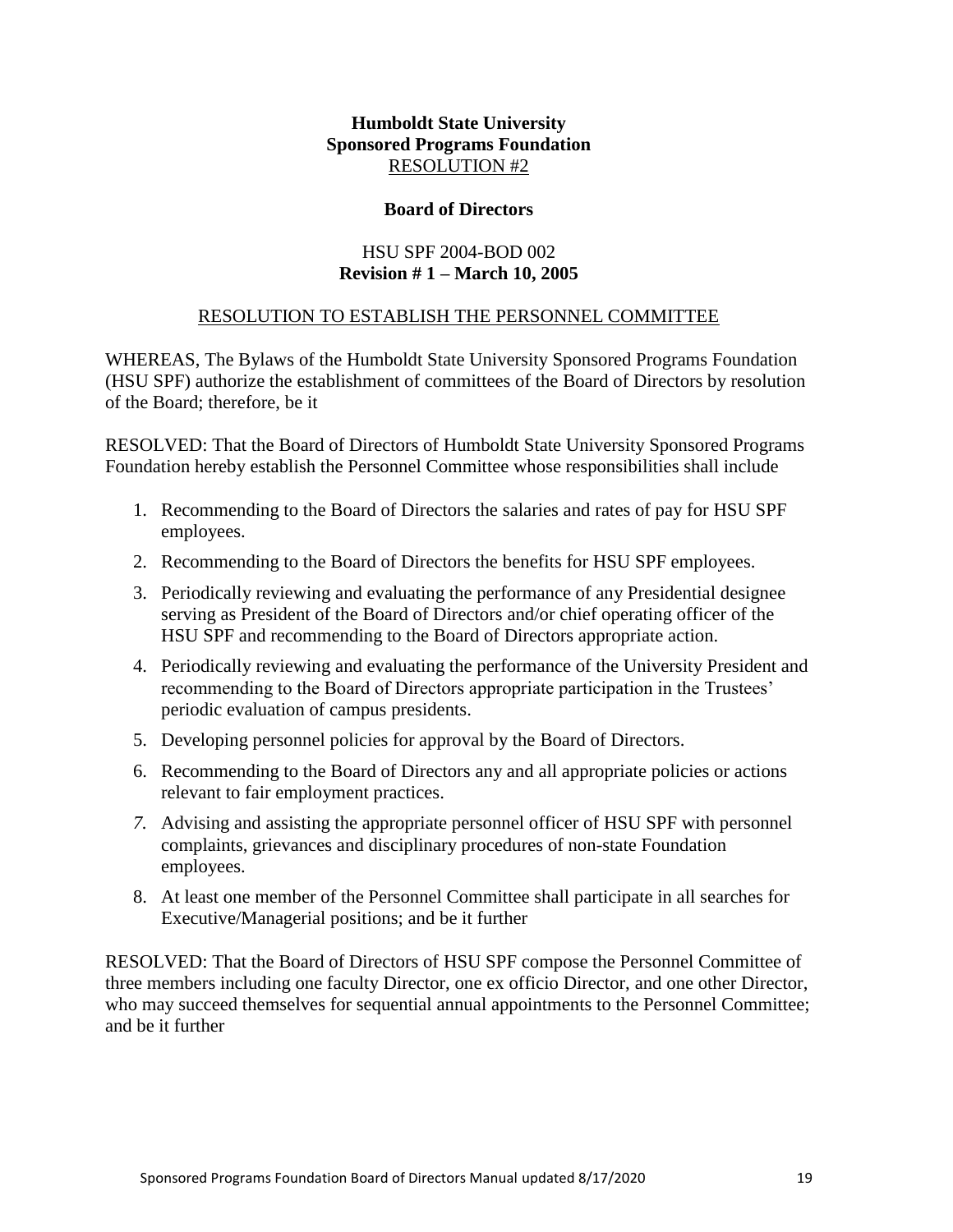#### **Board of Directors**

## HSU SPF 2004-BOD 002 **Revision # 1 – March 10, 2005**

## RESOLUTION TO ESTABLISH THE PERSONNEL COMMITTEE

WHEREAS, The Bylaws of the Humboldt State University Sponsored Programs Foundation (HSU SPF) authorize the establishment of committees of the Board of Directors by resolution of the Board; therefore, be it

RESOLVED: That the Board of Directors of Humboldt State University Sponsored Programs Foundation hereby establish the Personnel Committee whose responsibilities shall include

- 1. Recommending to the Board of Directors the salaries and rates of pay for HSU SPF employees.
- 2. Recommending to the Board of Directors the benefits for HSU SPF employees.
- 3. Periodically reviewing and evaluating the performance of any Presidential designee serving as President of the Board of Directors and/or chief operating officer of the HSU SPF and recommending to the Board of Directors appropriate action.
- 4. Periodically reviewing and evaluating the performance of the University President and recommending to the Board of Directors appropriate participation in the Trustees' periodic evaluation of campus presidents.
- 5. Developing personnel policies for approval by the Board of Directors.
- 6. Recommending to the Board of Directors any and all appropriate policies or actions relevant to fair employment practices.
- *7.* Advising and assisting the appropriate personnel officer of HSU SPF with personnel complaints, grievances and disciplinary procedures of non-state Foundation employees.
- 8. At least one member of the Personnel Committee shall participate in all searches for Executive/Managerial positions; and be it further

RESOLVED: That the Board of Directors of HSU SPF compose the Personnel Committee of three members including one faculty Director, one ex officio Director, and one other Director, who may succeed themselves for sequential annual appointments to the Personnel Committee; and be it further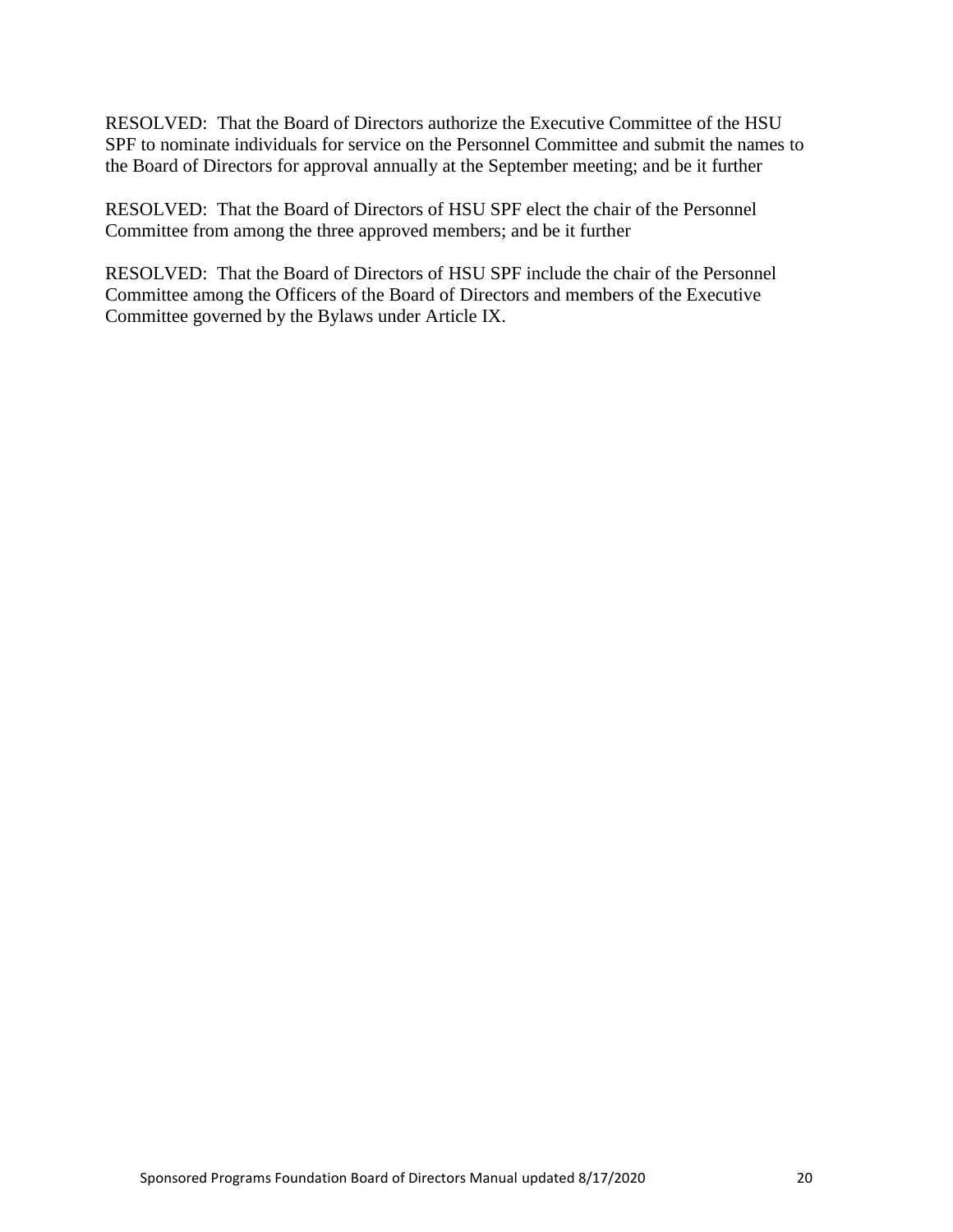RESOLVED: That the Board of Directors authorize the Executive Committee of the HSU SPF to nominate individuals for service on the Personnel Committee and submit the names to the Board of Directors for approval annually at the September meeting; and be it further

RESOLVED: That the Board of Directors of HSU SPF elect the chair of the Personnel Committee from among the three approved members; and be it further

RESOLVED: That the Board of Directors of HSU SPF include the chair of the Personnel Committee among the Officers of the Board of Directors and members of the Executive Committee governed by the Bylaws under Article IX.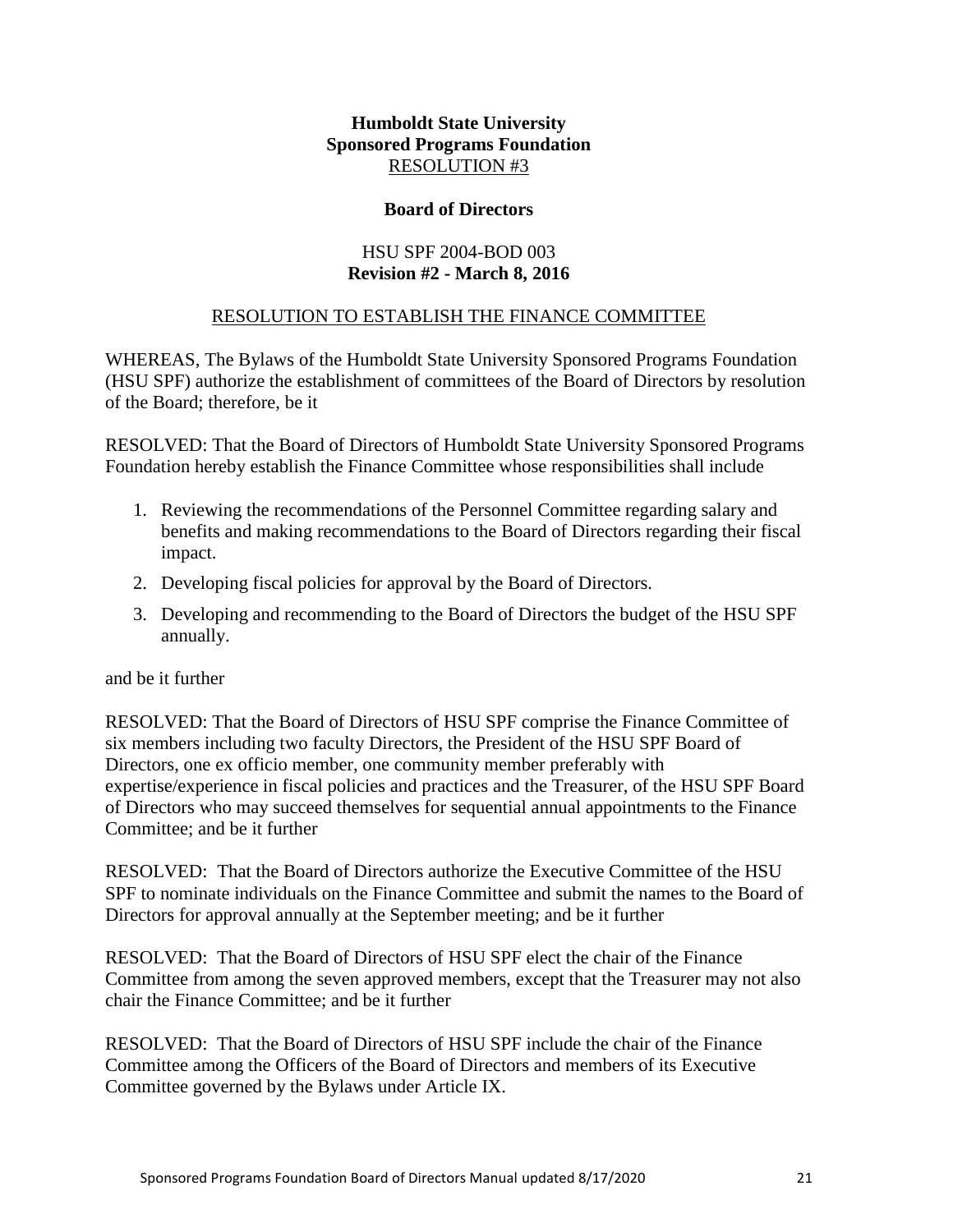## **Board of Directors**

## HSU SPF 2004-BOD 003 **Revision #2 - March 8, 2016**

## RESOLUTION TO ESTABLISH THE FINANCE COMMITTEE

<span id="page-20-0"></span>WHEREAS, The Bylaws of the Humboldt State University Sponsored Programs Foundation (HSU SPF) authorize the establishment of committees of the Board of Directors by resolution of the Board; therefore, be it

RESOLVED: That the Board of Directors of Humboldt State University Sponsored Programs Foundation hereby establish the Finance Committee whose responsibilities shall include

- 1. Reviewing the recommendations of the Personnel Committee regarding salary and benefits and making recommendations to the Board of Directors regarding their fiscal impact.
- 2. Developing fiscal policies for approval by the Board of Directors.
- 3. Developing and recommending to the Board of Directors the budget of the HSU SPF annually.

and be it further

RESOLVED: That the Board of Directors of HSU SPF comprise the Finance Committee of six members including two faculty Directors, the President of the HSU SPF Board of Directors, one ex officio member, one community member preferably with expertise/experience in fiscal policies and practices and the Treasurer, of the HSU SPF Board of Directors who may succeed themselves for sequential annual appointments to the Finance Committee; and be it further

RESOLVED: That the Board of Directors authorize the Executive Committee of the HSU SPF to nominate individuals on the Finance Committee and submit the names to the Board of Directors for approval annually at the September meeting; and be it further

RESOLVED: That the Board of Directors of HSU SPF elect the chair of the Finance Committee from among the seven approved members, except that the Treasurer may not also chair the Finance Committee; and be it further

RESOLVED: That the Board of Directors of HSU SPF include the chair of the Finance Committee among the Officers of the Board of Directors and members of its Executive Committee governed by the Bylaws under Article IX.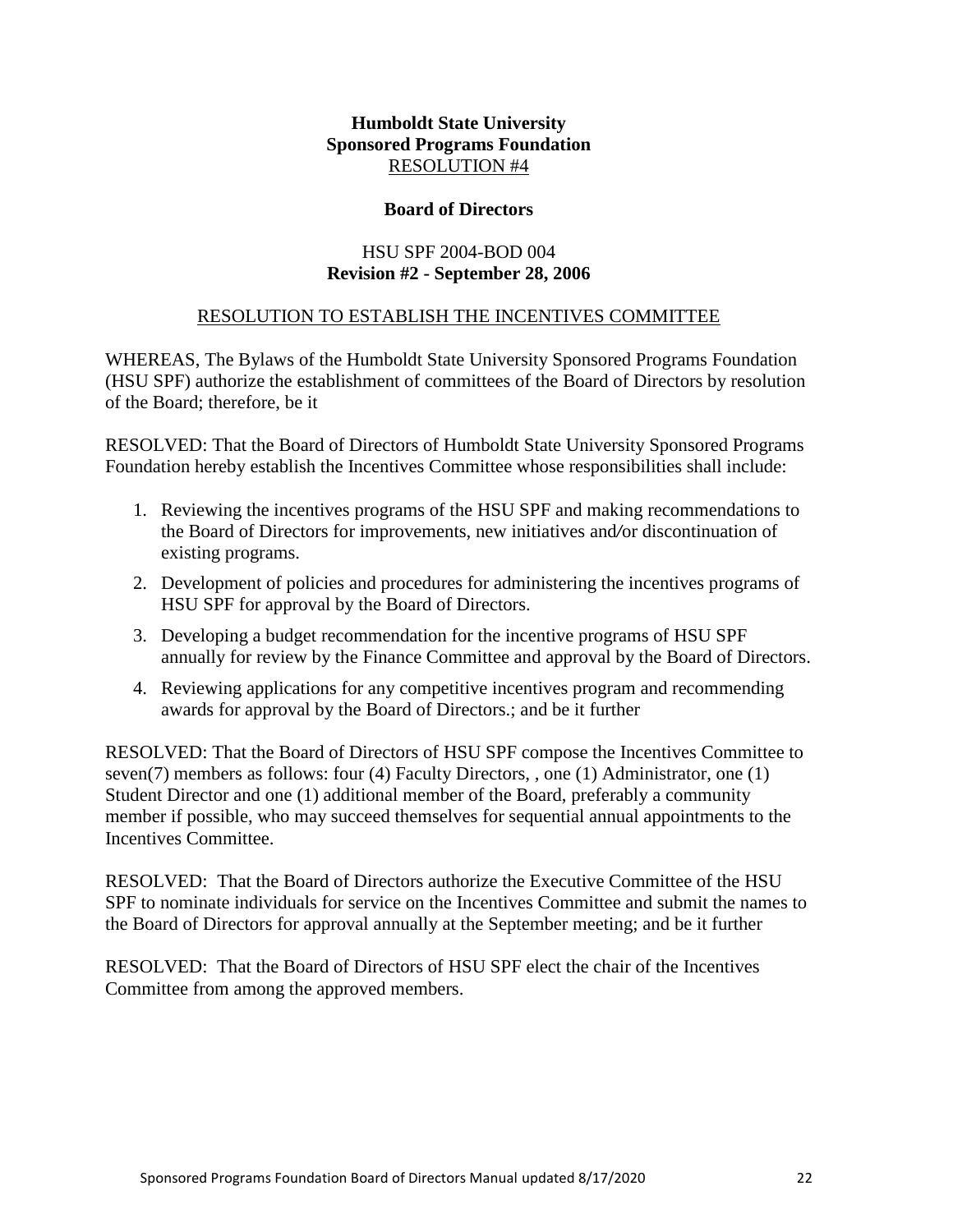#### **Board of Directors**

## HSU SPF 2004-BOD 004 **Revision #2 - September 28, 2006**

## RESOLUTION TO ESTABLISH THE INCENTIVES COMMITTEE

<span id="page-21-0"></span>WHEREAS, The Bylaws of the Humboldt State University Sponsored Programs Foundation (HSU SPF) authorize the establishment of committees of the Board of Directors by resolution of the Board; therefore, be it

RESOLVED: That the Board of Directors of Humboldt State University Sponsored Programs Foundation hereby establish the Incentives Committee whose responsibilities shall include:

- 1. Reviewing the incentives programs of the HSU SPF and making recommendations to the Board of Directors for improvements, new initiatives and*/*or discontinuation of existing programs.
- 2. Development of policies and procedures for administering the incentives programs of HSU SPF for approval by the Board of Directors.
- 3. Developing a budget recommendation for the incentive programs of HSU SPF annually for review by the Finance Committee and approval by the Board of Directors.
- 4. Reviewing applications for any competitive incentives program and recommending awards for approval by the Board of Directors.; and be it further

RESOLVED: That the Board of Directors of HSU SPF compose the Incentives Committee to seven(7) members as follows: four (4) Faculty Directors, , one (1) Administrator, one (1) Student Director and one (1) additional member of the Board, preferably a community member if possible, who may succeed themselves for sequential annual appointments to the Incentives Committee.

RESOLVED: That the Board of Directors authorize the Executive Committee of the HSU SPF to nominate individuals for service on the Incentives Committee and submit the names to the Board of Directors for approval annually at the September meeting; and be it further

RESOLVED: That the Board of Directors of HSU SPF elect the chair of the Incentives Committee from among the approved members.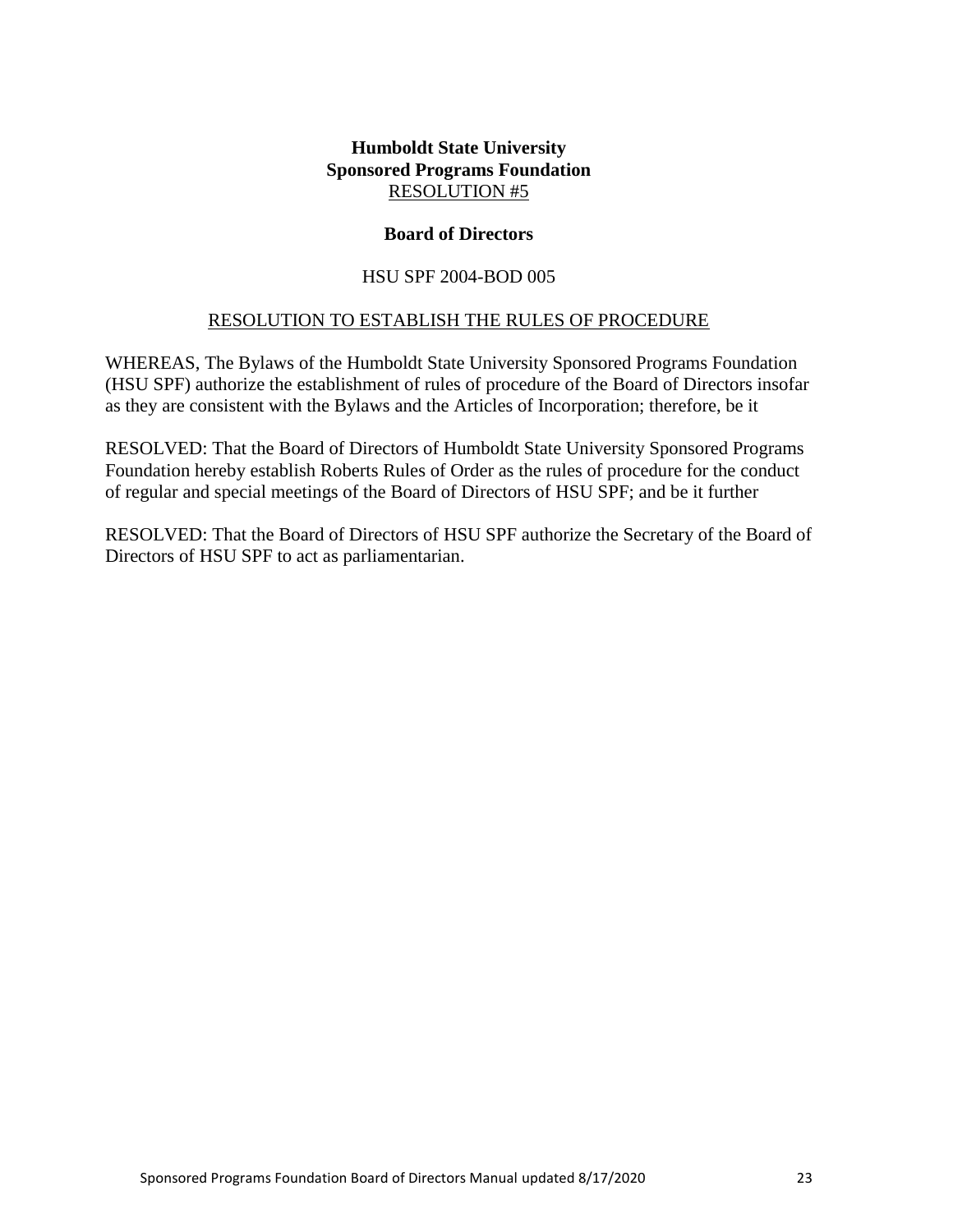#### **Board of Directors**

#### HSU SPF 2004-BOD 005

#### RESOLUTION TO ESTABLISH THE RULES OF PROCEDURE

<span id="page-22-0"></span>WHEREAS, The Bylaws of the Humboldt State University Sponsored Programs Foundation (HSU SPF) authorize the establishment of rules of procedure of the Board of Directors insofar as they are consistent with the Bylaws and the Articles of Incorporation; therefore, be it

RESOLVED: That the Board of Directors of Humboldt State University Sponsored Programs Foundation hereby establish Roberts Rules of Order as the rules of procedure for the conduct of regular and special meetings of the Board of Directors of HSU SPF; and be it further

RESOLVED: That the Board of Directors of HSU SPF authorize the Secretary of the Board of Directors of HSU SPF to act as parliamentarian.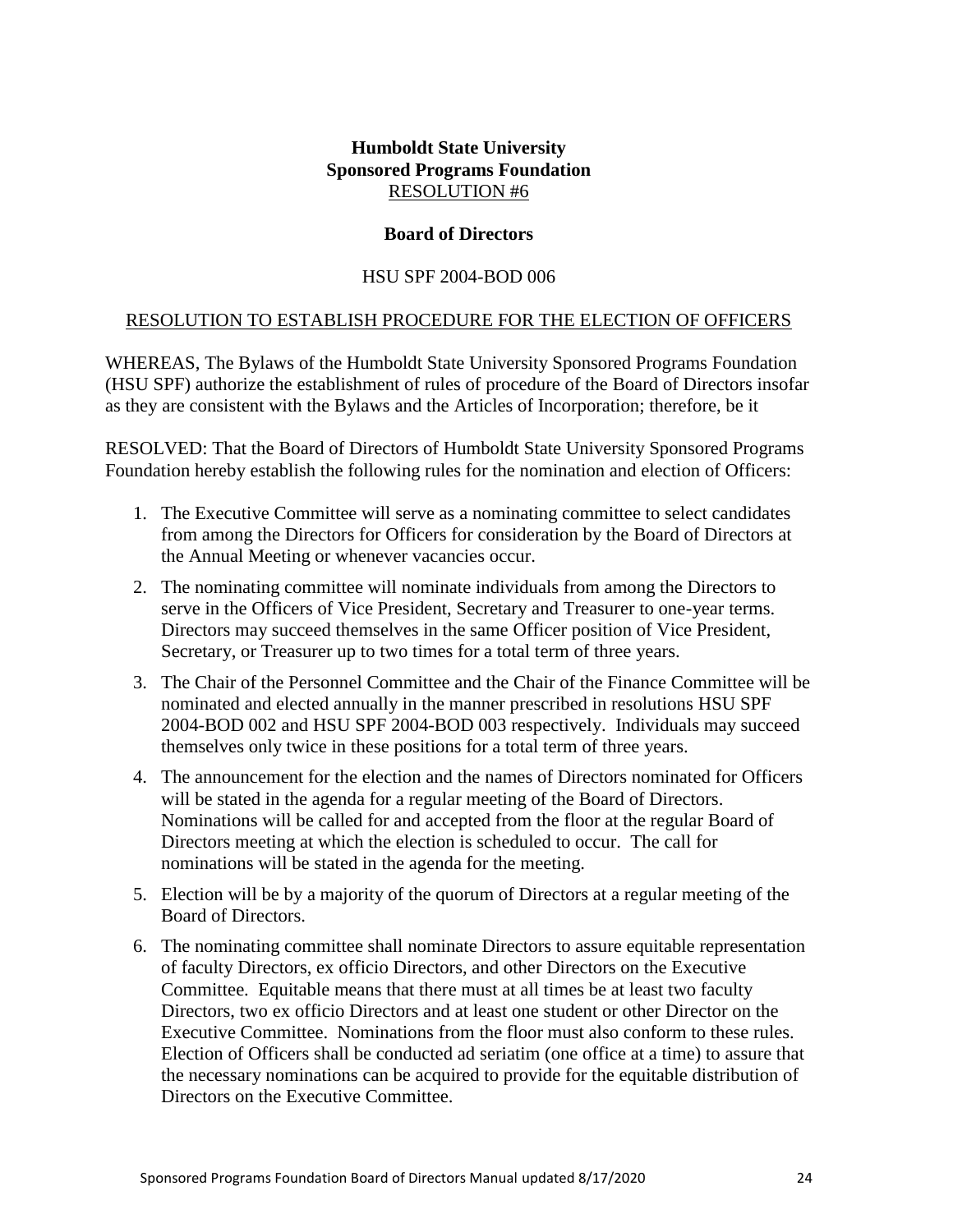#### **Board of Directors**

#### HSU SPF 2004-BOD 006

#### <span id="page-23-0"></span>RESOLUTION TO ESTABLISH PROCEDURE FOR THE ELECTION OF OFFICERS

WHEREAS, The Bylaws of the Humboldt State University Sponsored Programs Foundation (HSU SPF) authorize the establishment of rules of procedure of the Board of Directors insofar as they are consistent with the Bylaws and the Articles of Incorporation; therefore, be it

RESOLVED: That the Board of Directors of Humboldt State University Sponsored Programs Foundation hereby establish the following rules for the nomination and election of Officers:

- 1. The Executive Committee will serve as a nominating committee to select candidates from among the Directors for Officers for consideration by the Board of Directors at the Annual Meeting or whenever vacancies occur.
- 2. The nominating committee will nominate individuals from among the Directors to serve in the Officers of Vice President, Secretary and Treasurer to one-year terms. Directors may succeed themselves in the same Officer position of Vice President, Secretary, or Treasurer up to two times for a total term of three years.
- 3. The Chair of the Personnel Committee and the Chair of the Finance Committee will be nominated and elected annually in the manner prescribed in resolutions HSU SPF 2004-BOD 002 and HSU SPF 2004-BOD 003 respectively. Individuals may succeed themselves only twice in these positions for a total term of three years.
- 4. The announcement for the election and the names of Directors nominated for Officers will be stated in the agenda for a regular meeting of the Board of Directors. Nominations will be called for and accepted from the floor at the regular Board of Directors meeting at which the election is scheduled to occur. The call for nominations will be stated in the agenda for the meeting.
- 5. Election will be by a majority of the quorum of Directors at a regular meeting of the Board of Directors.
- 6. The nominating committee shall nominate Directors to assure equitable representation of faculty Directors, ex officio Directors, and other Directors on the Executive Committee. Equitable means that there must at all times be at least two faculty Directors, two ex officio Directors and at least one student or other Director on the Executive Committee. Nominations from the floor must also conform to these rules. Election of Officers shall be conducted ad seriatim (one office at a time) to assure that the necessary nominations can be acquired to provide for the equitable distribution of Directors on the Executive Committee.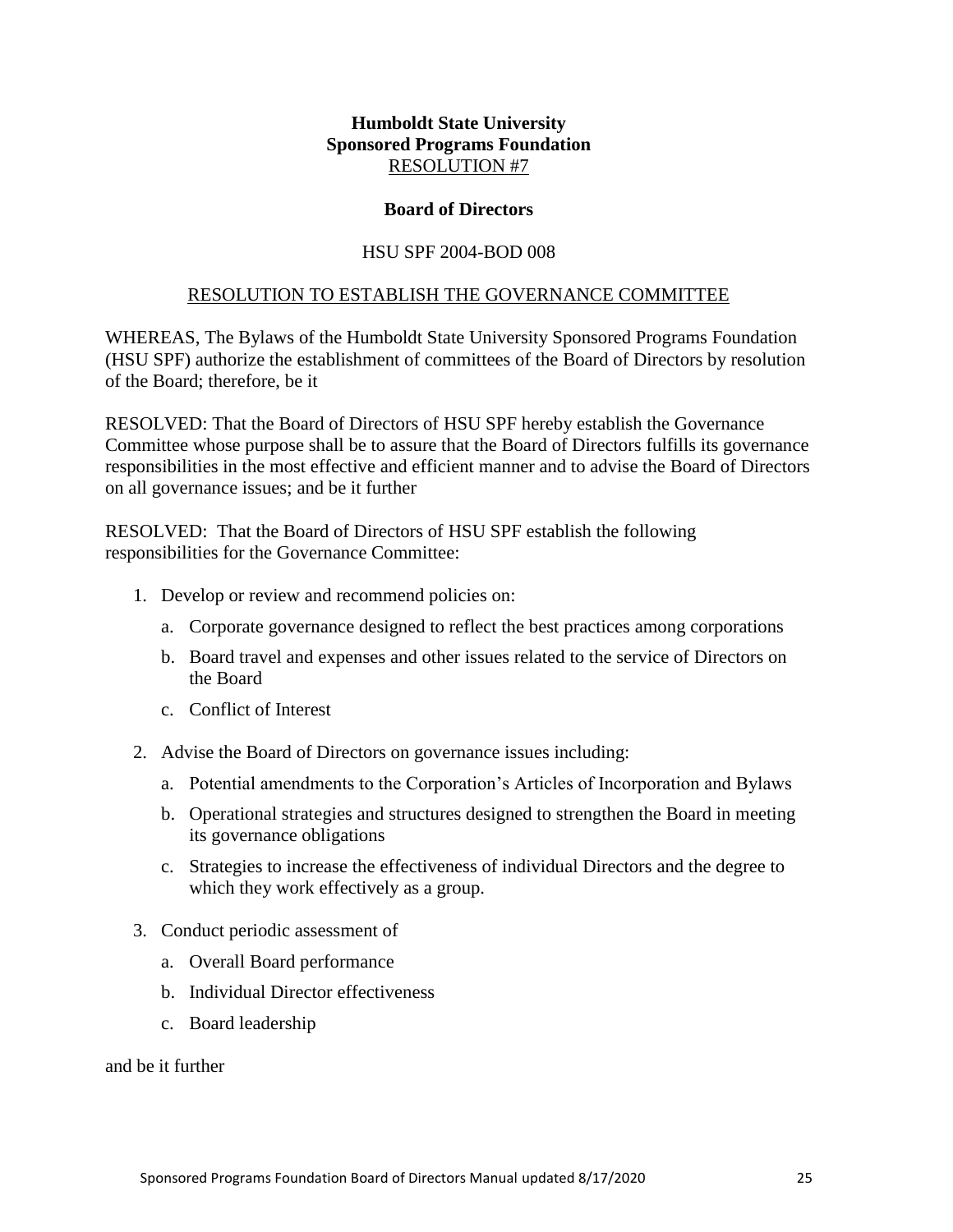#### **Board of Directors**

#### HSU SPF 2004-BOD 008

#### RESOLUTION TO ESTABLISH THE GOVERNANCE COMMITTEE

<span id="page-24-0"></span>WHEREAS, The Bylaws of the Humboldt State University Sponsored Programs Foundation (HSU SPF) authorize the establishment of committees of the Board of Directors by resolution of the Board; therefore, be it

RESOLVED: That the Board of Directors of HSU SPF hereby establish the Governance Committee whose purpose shall be to assure that the Board of Directors fulfills its governance responsibilities in the most effective and efficient manner and to advise the Board of Directors on all governance issues; and be it further

RESOLVED: That the Board of Directors of HSU SPF establish the following responsibilities for the Governance Committee:

- 1. Develop or review and recommend policies on:
	- a. Corporate governance designed to reflect the best practices among corporations
	- b. Board travel and expenses and other issues related to the service of Directors on the Board
	- c. Conflict of Interest
- 2. Advise the Board of Directors on governance issues including:
	- a. Potential amendments to the Corporation's Articles of Incorporation and Bylaws
	- b. Operational strategies and structures designed to strengthen the Board in meeting its governance obligations
	- c. Strategies to increase the effectiveness of individual Directors and the degree to which they work effectively as a group.
- 3. Conduct periodic assessment of
	- a. Overall Board performance
	- b. Individual Director effectiveness
	- c. Board leadership

and be it further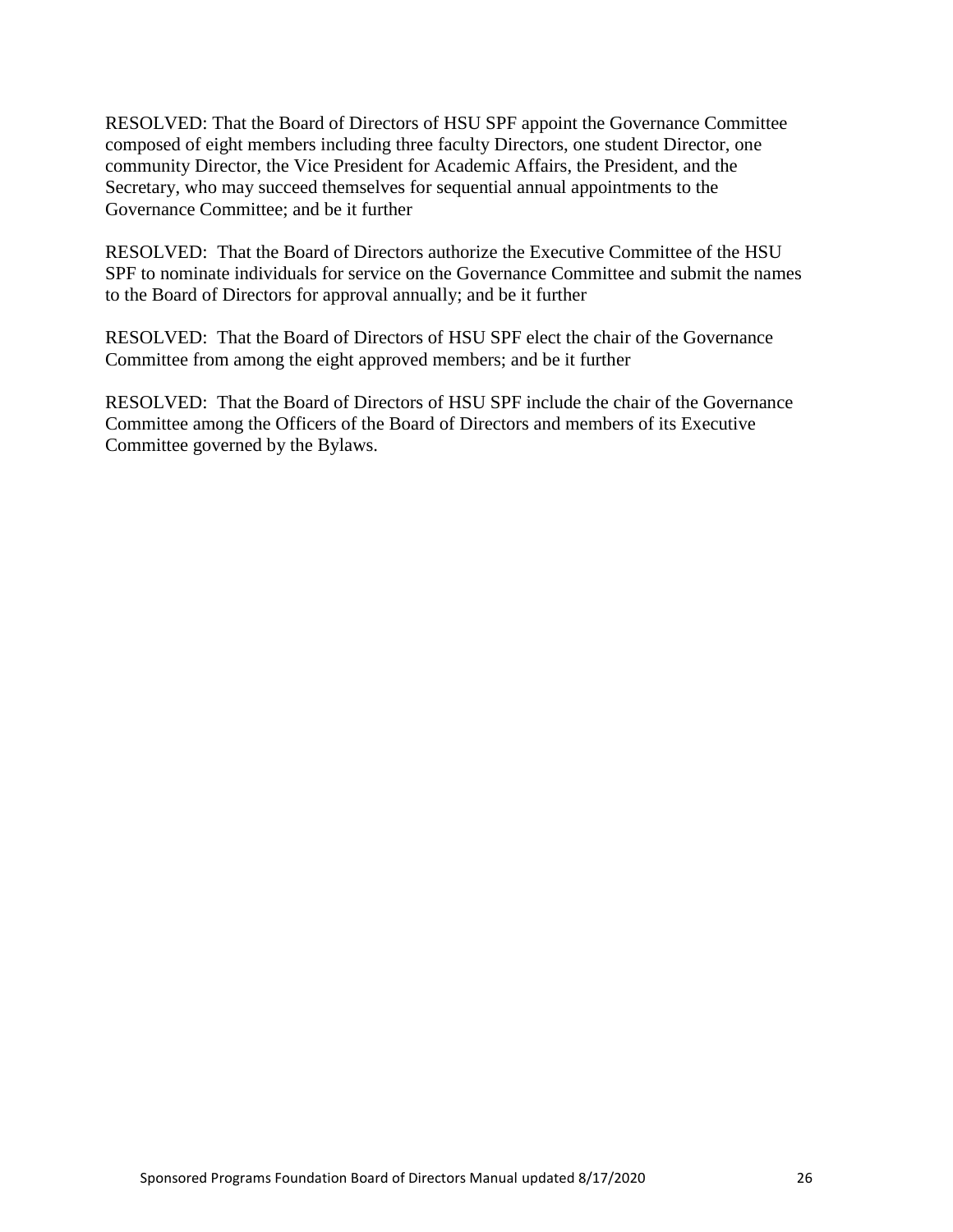RESOLVED: That the Board of Directors of HSU SPF appoint the Governance Committee composed of eight members including three faculty Directors, one student Director, one community Director, the Vice President for Academic Affairs, the President, and the Secretary, who may succeed themselves for sequential annual appointments to the Governance Committee; and be it further

RESOLVED: That the Board of Directors authorize the Executive Committee of the HSU SPF to nominate individuals for service on the Governance Committee and submit the names to the Board of Directors for approval annually; and be it further

RESOLVED: That the Board of Directors of HSU SPF elect the chair of the Governance Committee from among the eight approved members; and be it further

RESOLVED: That the Board of Directors of HSU SPF include the chair of the Governance Committee among the Officers of the Board of Directors and members of its Executive Committee governed by the Bylaws.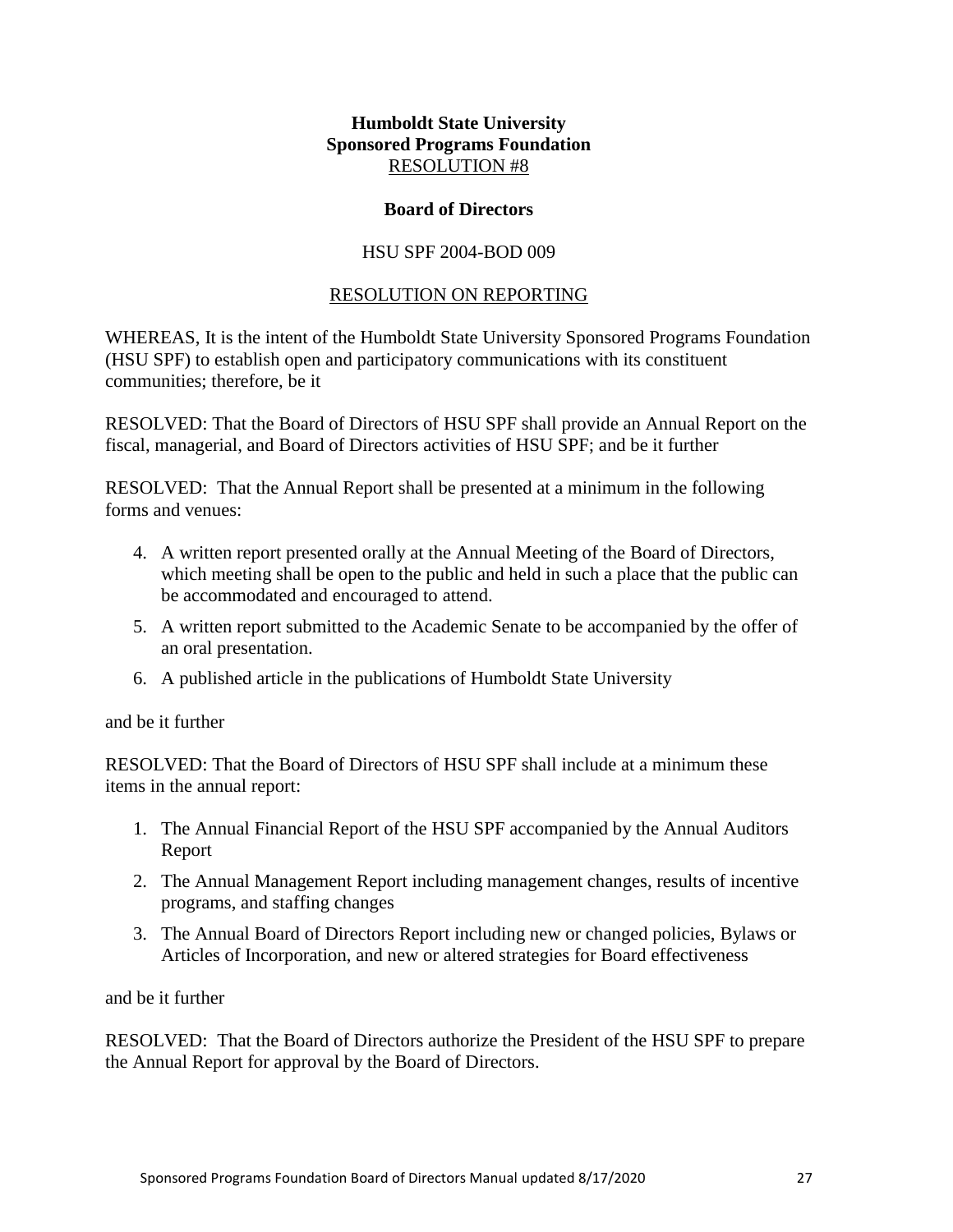#### **Board of Directors**

## HSU SPF 2004-BOD 009

## RESOLUTION ON REPORTING

<span id="page-26-0"></span>WHEREAS, It is the intent of the Humboldt State University Sponsored Programs Foundation (HSU SPF) to establish open and participatory communications with its constituent communities; therefore, be it

RESOLVED: That the Board of Directors of HSU SPF shall provide an Annual Report on the fiscal, managerial, and Board of Directors activities of HSU SPF; and be it further

RESOLVED: That the Annual Report shall be presented at a minimum in the following forms and venues:

- 4. A written report presented orally at the Annual Meeting of the Board of Directors, which meeting shall be open to the public and held in such a place that the public can be accommodated and encouraged to attend.
- 5. A written report submitted to the Academic Senate to be accompanied by the offer of an oral presentation.
- 6. A published article in the publications of Humboldt State University

#### and be it further

RESOLVED: That the Board of Directors of HSU SPF shall include at a minimum these items in the annual report:

- 1. The Annual Financial Report of the HSU SPF accompanied by the Annual Auditors Report
- 2. The Annual Management Report including management changes, results of incentive programs, and staffing changes
- 3. The Annual Board of Directors Report including new or changed policies, Bylaws or Articles of Incorporation, and new or altered strategies for Board effectiveness

and be it further

RESOLVED: That the Board of Directors authorize the President of the HSU SPF to prepare the Annual Report for approval by the Board of Directors.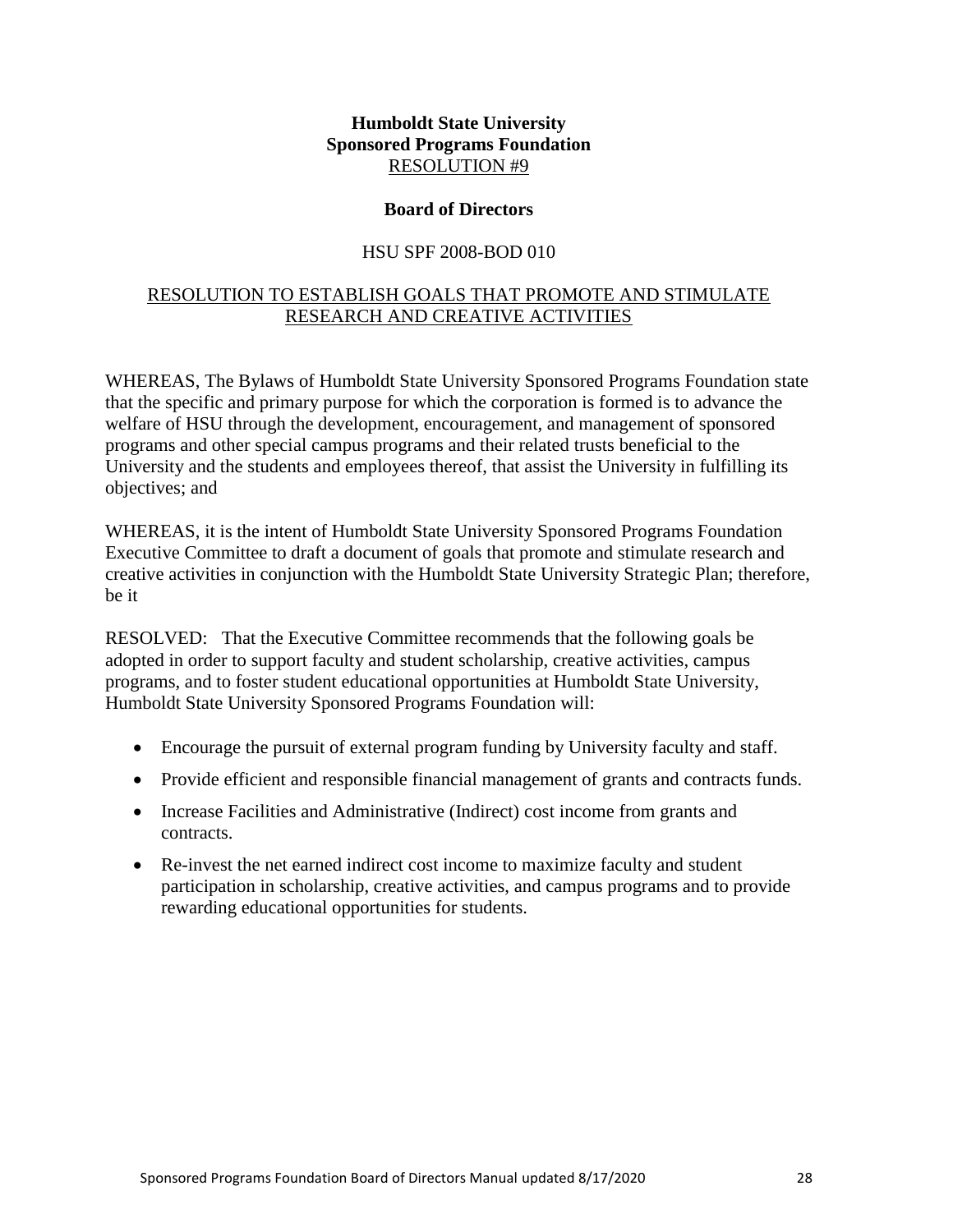#### **Board of Directors**

## HSU SPF 2008-BOD 010

## <span id="page-27-1"></span><span id="page-27-0"></span>RESOLUTION TO ESTABLISH GOALS THAT PROMOTE AND STIMULATE RESEARCH AND CREATIVE ACTIVITIES

WHEREAS, The Bylaws of Humboldt State University Sponsored Programs Foundation state that the specific and primary purpose for which the corporation is formed is to advance the welfare of HSU through the development, encouragement, and management of sponsored programs and other special campus programs and their related trusts beneficial to the University and the students and employees thereof, that assist the University in fulfilling its objectives; and

WHEREAS, it is the intent of Humboldt State University Sponsored Programs Foundation Executive Committee to draft a document of goals that promote and stimulate research and creative activities in conjunction with the Humboldt State University Strategic Plan; therefore, be it

RESOLVED: That the Executive Committee recommends that the following goals be adopted in order to support faculty and student scholarship, creative activities, campus programs, and to foster student educational opportunities at Humboldt State University, Humboldt State University Sponsored Programs Foundation will:

- Encourage the pursuit of external program funding by University faculty and staff.
- Provide efficient and responsible financial management of grants and contracts funds.
- Increase Facilities and Administrative (Indirect) cost income from grants and contracts.
- Re-invest the net earned indirect cost income to maximize faculty and student participation in scholarship, creative activities, and campus programs and to provide rewarding educational opportunities for students.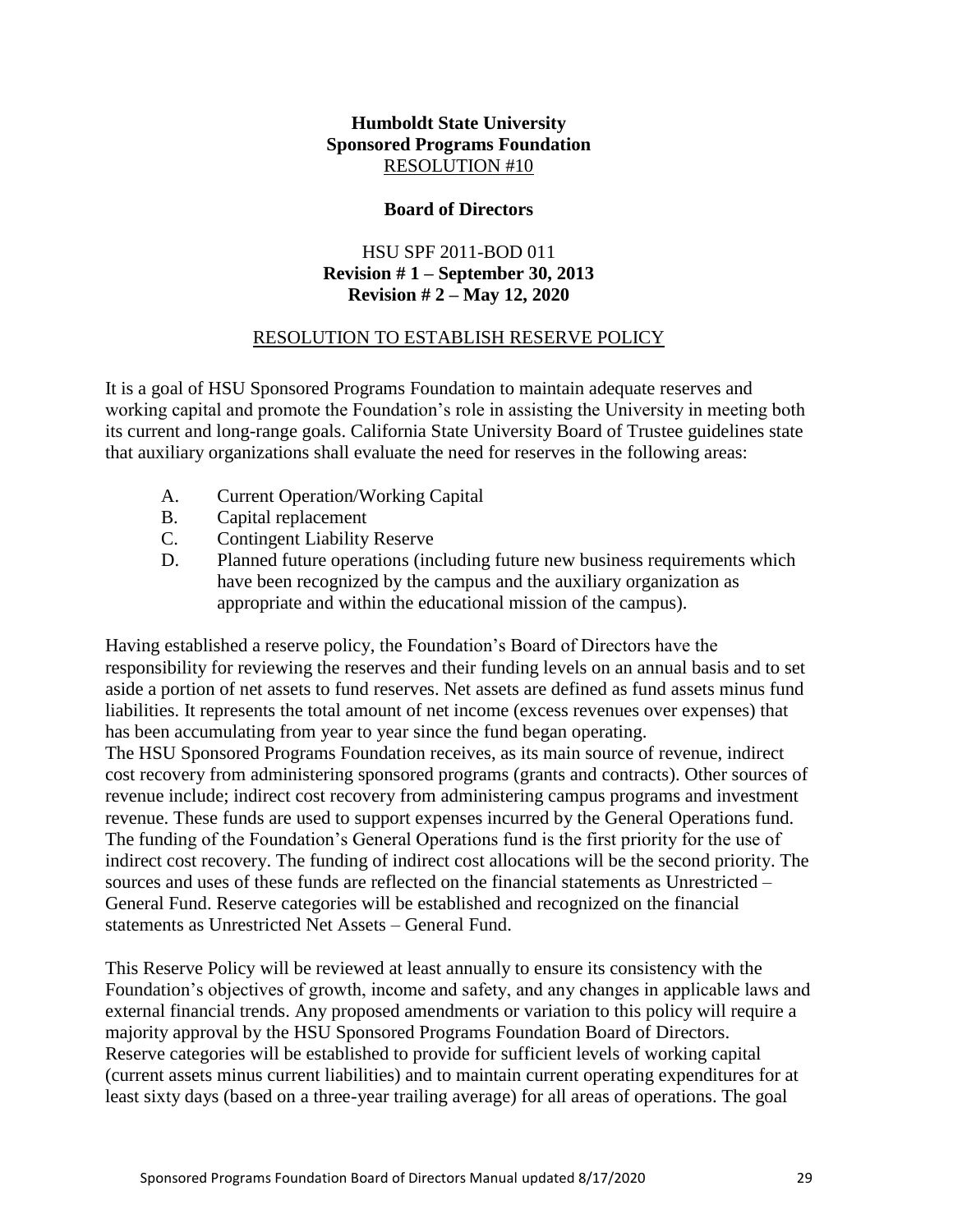#### **Board of Directors**

## HSU SPF 2011-BOD 011 **Revision # 1 – September 30, 2013 Revision # 2 – May 12, 2020**

## RESOLUTION TO ESTABLISH RESERVE POLICY

<span id="page-28-0"></span>It is a goal of HSU Sponsored Programs Foundation to maintain adequate reserves and working capital and promote the Foundation's role in assisting the University in meeting both its current and long-range goals. California State University Board of Trustee guidelines state that auxiliary organizations shall evaluate the need for reserves in the following areas:

- A. Current Operation/Working Capital
- B. Capital replacement
- C. Contingent Liability Reserve
- D. Planned future operations (including future new business requirements which have been recognized by the campus and the auxiliary organization as appropriate and within the educational mission of the campus).

Having established a reserve policy, the Foundation's Board of Directors have the responsibility for reviewing the reserves and their funding levels on an annual basis and to set aside a portion of net assets to fund reserves. Net assets are defined as fund assets minus fund liabilities. It represents the total amount of net income (excess revenues over expenses) that has been accumulating from year to year since the fund began operating.

The HSU Sponsored Programs Foundation receives, as its main source of revenue, indirect cost recovery from administering sponsored programs (grants and contracts). Other sources of revenue include; indirect cost recovery from administering campus programs and investment revenue. These funds are used to support expenses incurred by the General Operations fund. The funding of the Foundation's General Operations fund is the first priority for the use of indirect cost recovery. The funding of indirect cost allocations will be the second priority. The sources and uses of these funds are reflected on the financial statements as Unrestricted – General Fund. Reserve categories will be established and recognized on the financial statements as Unrestricted Net Assets – General Fund.

This Reserve Policy will be reviewed at least annually to ensure its consistency with the Foundation's objectives of growth, income and safety, and any changes in applicable laws and external financial trends. Any proposed amendments or variation to this policy will require a majority approval by the HSU Sponsored Programs Foundation Board of Directors. Reserve categories will be established to provide for sufficient levels of working capital (current assets minus current liabilities) and to maintain current operating expenditures for at least sixty days (based on a three-year trailing average) for all areas of operations. The goal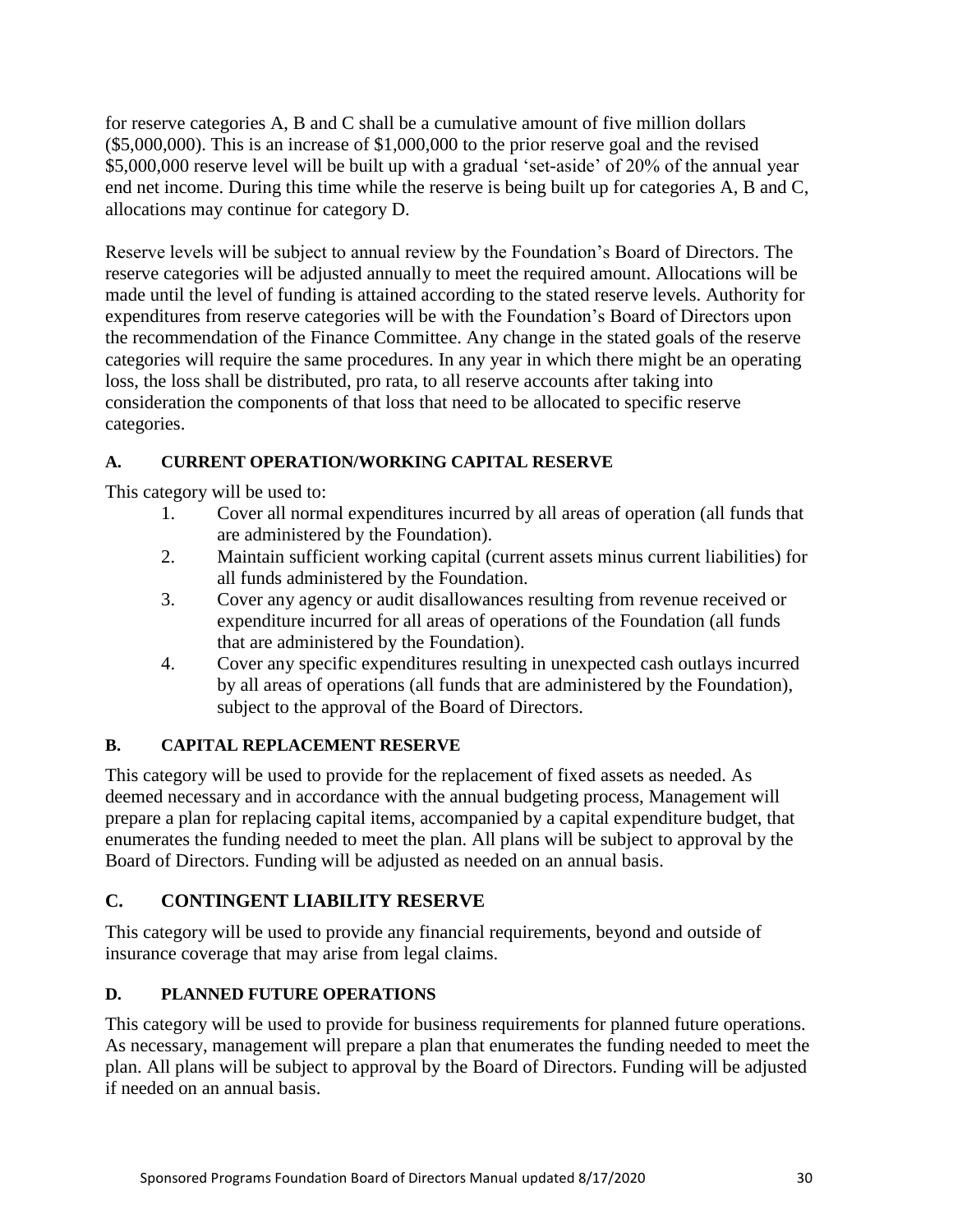for reserve categories A, B and C shall be a cumulative amount of five million dollars (\$5,000,000). This is an increase of \$1,000,000 to the prior reserve goal and the revised \$5,000,000 reserve level will be built up with a gradual 'set-aside' of 20% of the annual year end net income. During this time while the reserve is being built up for categories A, B and C, allocations may continue for category D.

Reserve levels will be subject to annual review by the Foundation's Board of Directors. The reserve categories will be adjusted annually to meet the required amount. Allocations will be made until the level of funding is attained according to the stated reserve levels. Authority for expenditures from reserve categories will be with the Foundation's Board of Directors upon the recommendation of the Finance Committee. Any change in the stated goals of the reserve categories will require the same procedures. In any year in which there might be an operating loss, the loss shall be distributed, pro rata, to all reserve accounts after taking into consideration the components of that loss that need to be allocated to specific reserve categories.

# **A. CURRENT OPERATION/WORKING CAPITAL RESERVE**

This category will be used to:

- 1. Cover all normal expenditures incurred by all areas of operation (all funds that are administered by the Foundation).
- 2. Maintain sufficient working capital (current assets minus current liabilities) for all funds administered by the Foundation.
- 3. Cover any agency or audit disallowances resulting from revenue received or expenditure incurred for all areas of operations of the Foundation (all funds that are administered by the Foundation).
- 4. Cover any specific expenditures resulting in unexpected cash outlays incurred by all areas of operations (all funds that are administered by the Foundation), subject to the approval of the Board of Directors.

# **B. CAPITAL REPLACEMENT RESERVE**

This category will be used to provide for the replacement of fixed assets as needed. As deemed necessary and in accordance with the annual budgeting process, Management will prepare a plan for replacing capital items, accompanied by a capital expenditure budget, that enumerates the funding needed to meet the plan. All plans will be subject to approval by the Board of Directors. Funding will be adjusted as needed on an annual basis.

# **C. CONTINGENT LIABILITY RESERVE**

This category will be used to provide any financial requirements, beyond and outside of insurance coverage that may arise from legal claims.

# **D. PLANNED FUTURE OPERATIONS**

This category will be used to provide for business requirements for planned future operations. As necessary, management will prepare a plan that enumerates the funding needed to meet the plan. All plans will be subject to approval by the Board of Directors. Funding will be adjusted if needed on an annual basis.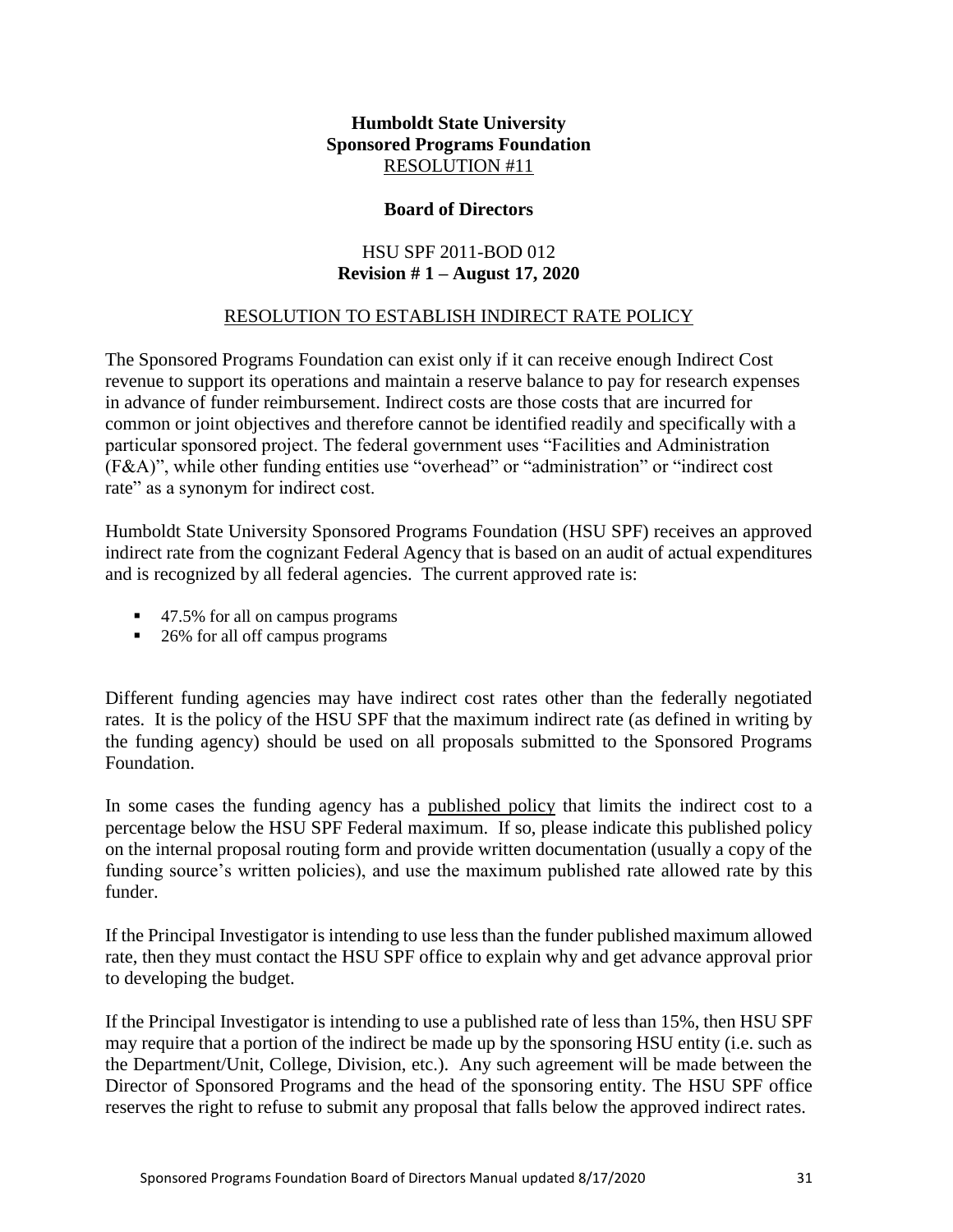## **Board of Directors**

## HSU SPF 2011-BOD 012 **Revision # 1 – August 17, 2020**

## RESOLUTION TO ESTABLISH INDIRECT RATE POLICY

<span id="page-30-0"></span>The Sponsored Programs Foundation can exist only if it can receive enough Indirect Cost revenue to support its operations and maintain a reserve balance to pay for research expenses in advance of funder reimbursement. Indirect costs are those costs that are incurred for common or joint objectives and therefore cannot be identified readily and specifically with a particular sponsored project. The federal government uses "Facilities and Administration (F&A)", while other funding entities use "overhead" or "administration" or "indirect cost rate" as a synonym for indirect cost.

Humboldt State University Sponsored Programs Foundation (HSU SPF) receives an approved indirect rate from the cognizant Federal Agency that is based on an audit of actual expenditures and is recognized by all federal agencies. The current approved rate is:

- 47.5% for all on campus programs
- 26% for all off campus programs

Different funding agencies may have indirect cost rates other than the federally negotiated rates. It is the policy of the HSU SPF that the maximum indirect rate (as defined in writing by the funding agency) should be used on all proposals submitted to the Sponsored Programs Foundation.

In some cases the funding agency has a published policy that limits the indirect cost to a percentage below the HSU SPF Federal maximum. If so, please indicate this published policy on the internal proposal routing form and provide written documentation (usually a copy of the funding source's written policies), and use the maximum published rate allowed rate by this funder.

If the Principal Investigator is intending to use less than the funder published maximum allowed rate, then they must contact the HSU SPF office to explain why and get advance approval prior to developing the budget.

If the Principal Investigator is intending to use a published rate of less than 15%, then HSU SPF may require that a portion of the indirect be made up by the sponsoring HSU entity (i.e. such as the Department/Unit, College, Division, etc.). Any such agreement will be made between the Director of Sponsored Programs and the head of the sponsoring entity. The HSU SPF office reserves the right to refuse to submit any proposal that falls below the approved indirect rates.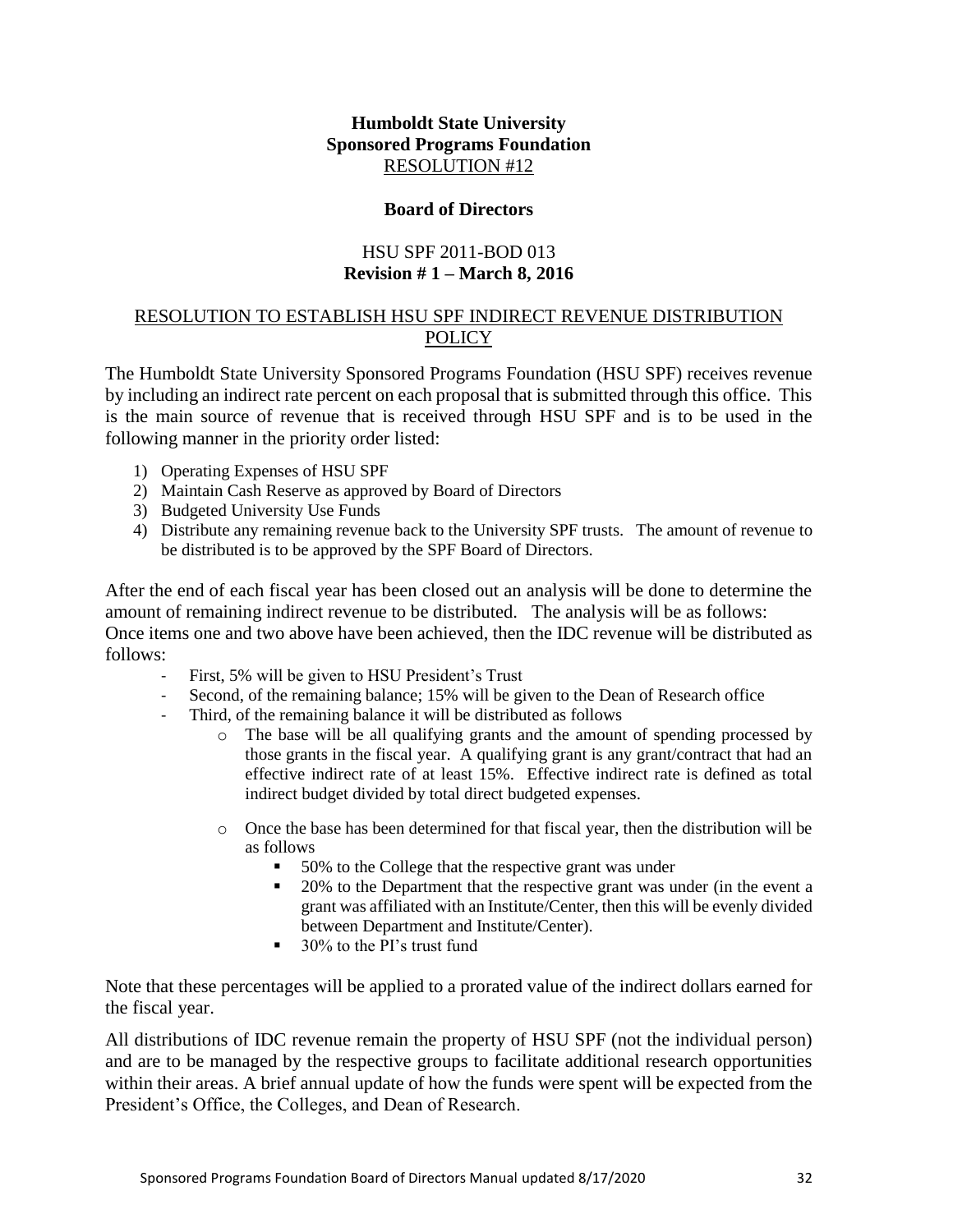#### **Board of Directors**

## HSU SPF 2011-BOD 013 **Revision # 1 – March 8, 2016**

#### <span id="page-31-0"></span>RESOLUTION TO ESTABLISH HSU SPF INDIRECT REVENUE DISTRIBUTION **POLICY**

The Humboldt State University Sponsored Programs Foundation (HSU SPF) receives revenue by including an indirect rate percent on each proposal that is submitted through this office. This is the main source of revenue that is received through HSU SPF and is to be used in the following manner in the priority order listed:

- 1) Operating Expenses of HSU SPF
- 2) Maintain Cash Reserve as approved by Board of Directors
- 3) Budgeted University Use Funds
- 4) Distribute any remaining revenue back to the University SPF trusts. The amount of revenue to be distributed is to be approved by the SPF Board of Directors.

After the end of each fiscal year has been closed out an analysis will be done to determine the amount of remaining indirect revenue to be distributed. The analysis will be as follows: Once items one and two above have been achieved, then the IDC revenue will be distributed as follows:

- First, 5% will be given to HSU President's Trust
- Second, of the remaining balance; 15% will be given to the Dean of Research office
- Third, of the remaining balance it will be distributed as follows
	- o The base will be all qualifying grants and the amount of spending processed by those grants in the fiscal year. A qualifying grant is any grant/contract that had an effective indirect rate of at least 15%. Effective indirect rate is defined as total indirect budget divided by total direct budgeted expenses.
	- o Once the base has been determined for that fiscal year, then the distribution will be as follows
		- 50% to the College that the respective grant was under
		- 20% to the Department that the respective grant was under (in the event a grant was affiliated with an Institute/Center, then this will be evenly divided between Department and Institute/Center).
		- 30% to the PI's trust fund

Note that these percentages will be applied to a prorated value of the indirect dollars earned for the fiscal year.

All distributions of IDC revenue remain the property of HSU SPF (not the individual person) and are to be managed by the respective groups to facilitate additional research opportunities within their areas. A brief annual update of how the funds were spent will be expected from the President's Office, the Colleges, and Dean of Research.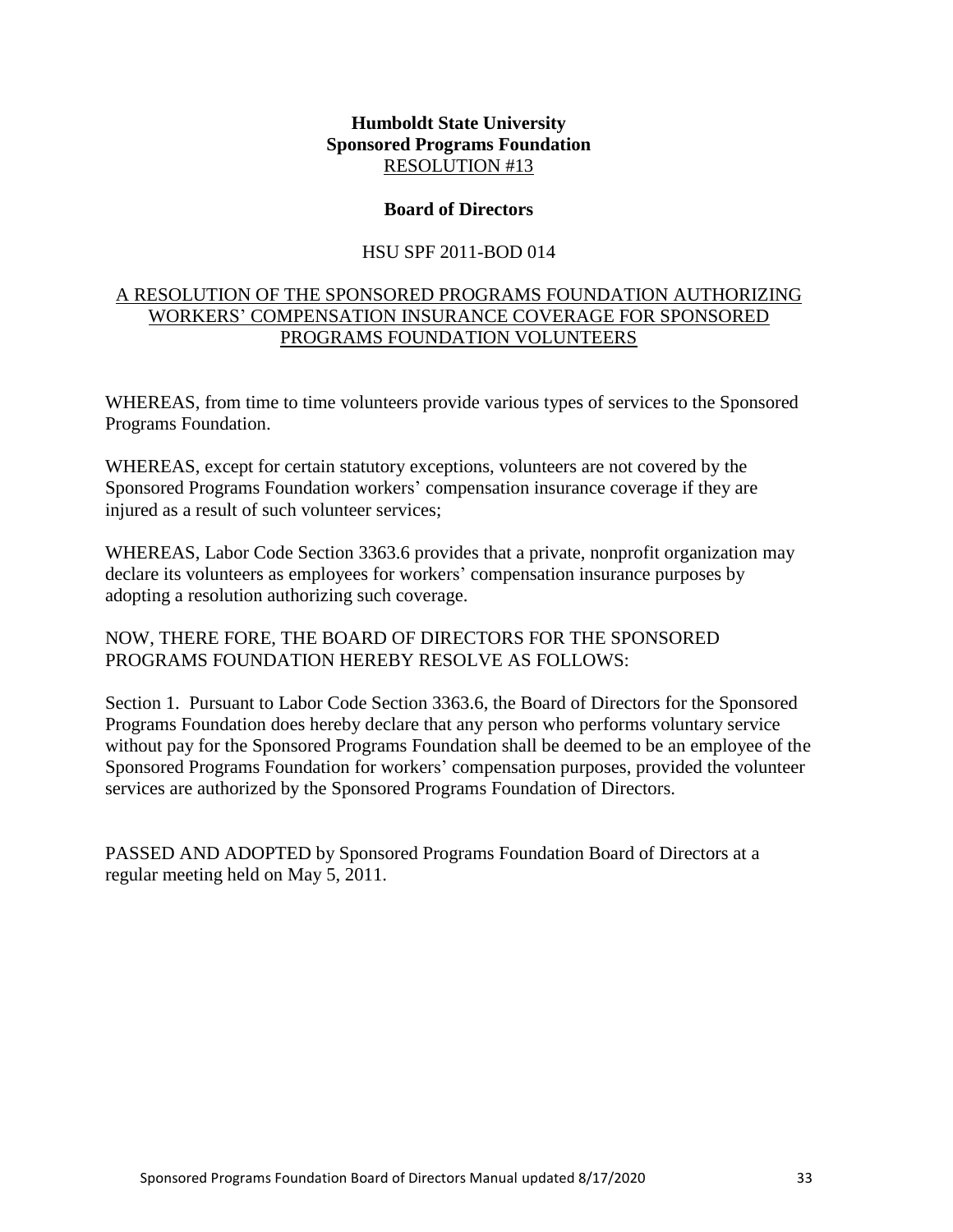#### **Board of Directors**

#### HSU SPF 2011-BOD 014

## <span id="page-32-0"></span>A RESOLUTION OF THE SPONSORED PROGRAMS FOUNDATION AUTHORIZING WORKERS' COMPENSATION INSURANCE COVERAGE FOR SPONSORED PROGRAMS FOUNDATION VOLUNTEERS

WHEREAS, from time to time volunteers provide various types of services to the Sponsored Programs Foundation.

WHEREAS, except for certain statutory exceptions, volunteers are not covered by the Sponsored Programs Foundation workers' compensation insurance coverage if they are injured as a result of such volunteer services;

WHEREAS, Labor Code Section 3363.6 provides that a private, nonprofit organization may declare its volunteers as employees for workers' compensation insurance purposes by adopting a resolution authorizing such coverage.

## NOW, THERE FORE, THE BOARD OF DIRECTORS FOR THE SPONSORED PROGRAMS FOUNDATION HEREBY RESOLVE AS FOLLOWS:

Section 1. Pursuant to Labor Code Section 3363.6, the Board of Directors for the Sponsored Programs Foundation does hereby declare that any person who performs voluntary service without pay for the Sponsored Programs Foundation shall be deemed to be an employee of the Sponsored Programs Foundation for workers' compensation purposes, provided the volunteer services are authorized by the Sponsored Programs Foundation of Directors.

PASSED AND ADOPTED by Sponsored Programs Foundation Board of Directors at a regular meeting held on May 5, 2011.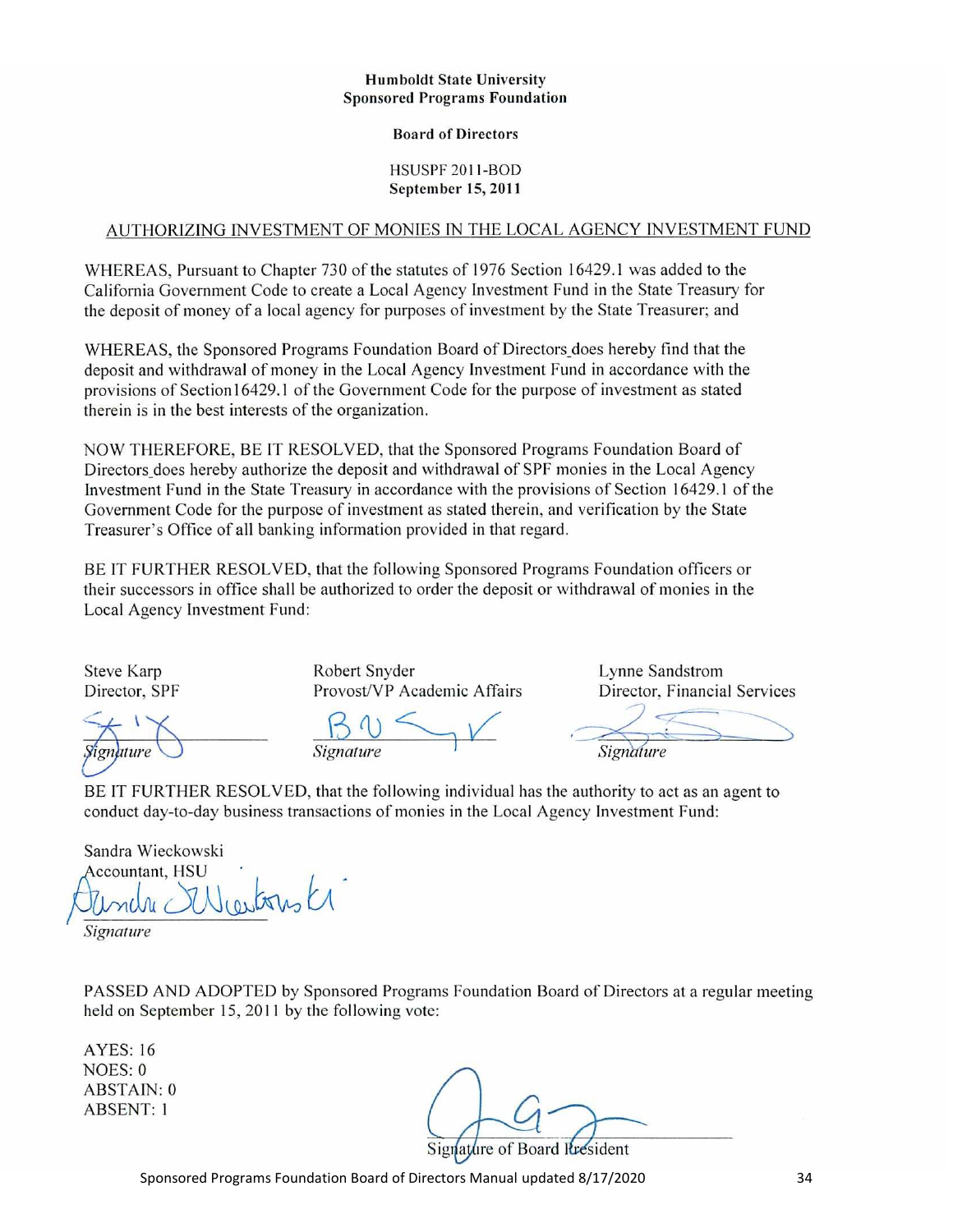#### **Humboldt State University Sponsored Programs Foundation**

#### **Board of Directors**

HSUSPF 2011-BOD September 15, 2011

#### AUTHORIZING INVESTMENT OF MONIES IN THE LOCAL AGENCY INVESTMENT FUND

WHEREAS, Pursuant to Chapter 730 of the statutes of 1976 Section 16429.1 was added to the California Government Code to create a Local Agency Investment Fund in the State Treasury for the deposit of money of a local agency for purposes of investment by the State Treasurer; and

WHEREAS, the Sponsored Programs Foundation Board of Directors does hereby find that the deposit and withdrawal of money in the Local Agency Investment Fund in accordance with the provisions of Section 16429.1 of the Government Code for the purpose of investment as stated therein is in the best interests of the organization.

NOW THEREFORE, BE IT RESOLVED, that the Sponsored Programs Foundation Board of Directors does hereby authorize the deposit and withdrawal of SPF monies in the Local Agency Investment Fund in the State Treasury in accordance with the provisions of Section 16429.1 of the Government Code for the purpose of investment as stated therein, and verification by the State Treasurer's Office of all banking information provided in that regard.

BE IT FURTHER RESOLVED, that the following Sponsored Programs Foundation officers or their successors in office shall be authorized to order the deposit or withdrawal of monies in the Local Agency Investment Fund:

**Steve Karp** Director, SPF Robert Snyder Provost/VP Academic Affairs Lynne Sandstrom Director, Financial Services

Signature

Signature

BE IT FURTHER RESOLVED, that the following individual has the authority to act as an agent to conduct day-to-day business transactions of monies in the Local Agency Investment Fund:

Sandra Wieckowski Accountant, HSU Neartonsk  $n(\lambda)$ Signature

PASSED AND ADOPTED by Sponsored Programs Foundation Board of Directors at a regular meeting held on September 15, 2011 by the following vote:

**AYES: 16** NOES: 0 **ABSTAIN: 0 ABSENT: 1** 

ire of Board **R**esident

Sponsored Programs Foundation Board of Directors Manual updated 8/17/2020 34